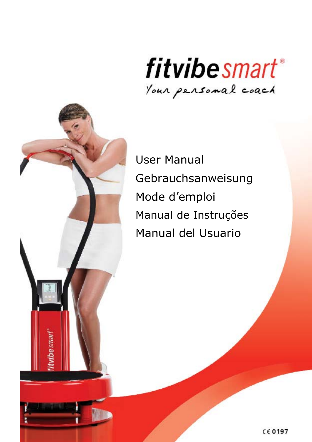fit vibe smart<sup>®</sup> Your personal coach

User Manual Gebrauchsanweisung Mode d'emploi Manual de Instruções Manual del Usuario

<u>1980 - Andrea Station Andrea Station Andrea Station Andrea Station Andrea Station Andrea Station Andrea Station Andrea Station Andrea Station Andrea Station Andrea Station Andrea Station Andrea Station Andrea Station Andr</u>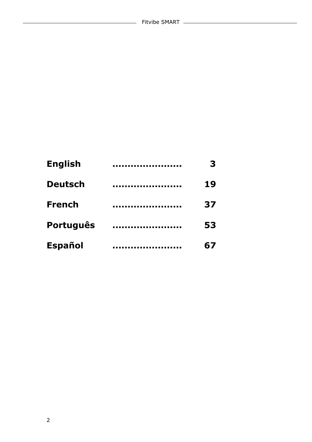| <b>English</b> |    |
|----------------|----|
| <b>Deutsch</b> | 19 |
| <b>French</b>  | 37 |
| Português      | 53 |
| <b>Español</b> |    |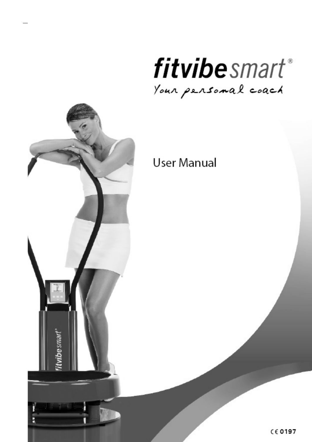# fitvibe smart® Your personal coach



**User Manual**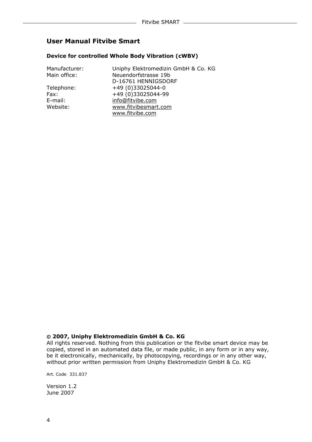### **User Manual Fitvibe Smart**

#### **Device for controlled Whole Body Vibration (cWBV)**

| Manufacturer: | Uniphy Elektromedizin GmbH & Co. KG |
|---------------|-------------------------------------|
| Main office:  | Neuendorfstrasse 19b                |
|               | D-16761 HENNIGSDORF                 |
| Telephone:    | +49 (0)33025044-0                   |
| Fax:          | +49 (0)33025044-99                  |
| E-mail:       | info@fitvibe.com                    |
| Website:      | www.fitvibesmart.com                |
|               | www.fitvibe.com                     |

#### **2007, Uniphy Elektromedizin GmbH & Co. KG**

All rights reserved. Nothing from this publication or the fitvibe smart device may be copied, stored in an automated data file, or made public, in any form or in any way, be it electronically, mechanically, by photocopying, recordings or in any other way, without prior written permission from Uniphy Elektromedizin GmbH & Co. KG

Art. Code 331.837

Version 1.2 June 2007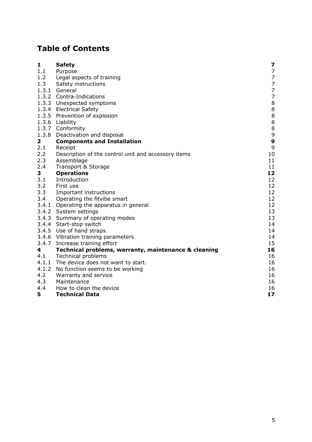# **Table of Contents**

| 1             | <b>Safety</b>                                        | 7              |
|---------------|------------------------------------------------------|----------------|
| 1.1           | Purpose                                              | $\overline{7}$ |
| 1.2           | Legal aspects of training                            | $\overline{7}$ |
| 1.3           | Safety instructions                                  | $\overline{7}$ |
|               | 1.3.1 General                                        | $\overline{7}$ |
|               | 1.3.2 Contra-Indications                             | $\overline{7}$ |
|               | 1.3.3 Unexpected symptoms                            | 8              |
|               | 1.3.4 Electrical Safety                              | 8              |
|               | 1.3.5 Prevention of explosion                        | 8              |
|               | 1.3.6 Liability                                      | 8              |
|               | 1.3.7 Conformity                                     | 8              |
|               | 1.3.8 Deactivation and disposal                      | 9              |
| $\mathbf{2}$  | <b>Components and Installation</b>                   | 9              |
| 2.1           | Receipt                                              | 9              |
| $2.2^{\circ}$ | Description of the control unit and accessory items  | 10             |
| 2.3           | Assemblage                                           | 11             |
| 2.4           | Transport & Storage                                  | 11             |
| $\mathbf{3}$  | <b>Operations</b>                                    | 12             |
| 3.1           | Introduction                                         | 12             |
| 3.2           | First use                                            | 12             |
|               | 3.3 Important instructions                           | 12             |
| 3.4           | Operating the fitvibe smart                          | 12             |
|               | 3.4.1 Operating the apparatus in general             | 12             |
|               | 3.4.2 System settings                                | 13             |
|               | 3.4.3 Summary of operating modes                     | 13             |
|               | 3.4.4 Start-stop switch                              | 14             |
|               | 3.4.5 Use of hand straps.                            | 14             |
|               | 3.4.6 Vibration training parameters                  | 14             |
|               | 3.4.7 Increase training effort                       | 15             |
| 4             | Technical problems, warranty, maintenance & cleaning | 16             |
| 4.1           | <b>Technical problems</b>                            | 16             |
|               | 4.1.1 The device does not want to start.             | 16             |
|               | 4.1.2 No function seems to be working                | 16             |
| 4.2           | Warranty and service                                 | 16             |
| 4.3           | Maintenance                                          | 16             |
| 4.4           | How to clean the device                              | 16             |
| 5             | <b>Technical Data</b>                                | 17             |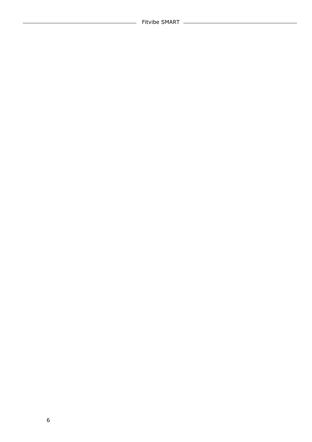Fitvibe SMART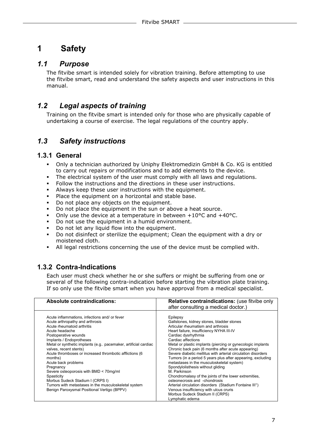# **1 Safety**

# *1.1 Purpose*

The fitvibe smart is intended solely for vibration training. Before attempting to use the fitvibe smart, read and understand the safety aspects and user instructions in this manual.

# *1.2 Legal aspects of training*

Training on the fitvibe smart is intended only for those who are physically capable of undertaking a course of exercise. The legal regulations of the country apply.

# *1.3 Safety instructions*

### **1.3.1 General**

- Only a technician authorized by Uniphy Elektromedizin GmbH & Co. KG is entitled to carry out repairs or modifications and to add elements to the device.
- The electrical system of the user must comply with all laws and regulations.
- Follow the instructions and the directions in these user instructions.
- Always keep these user instructions with the equipment.
- Place the equipment on a horizontal and stable base.
- Do not place any objects on the equipment.
- Do not place the equipment in the sun or above a heat source.
- Only use the device at a temperature in between +10°C and +40°C.
- Do not use the equipment in a humid environment.
- Do not let any liquid flow into the equipment.
- Do not disinfect or sterilize the equipment; Clean the equipment with a dry or moistened cloth.
- All legal restrictions concerning the use of the device must be complied with.

# **1.3.2 Contra-Indications**

Each user must check whether he or she suffers or might be suffering from one or several of the following contra-indication before starting the vibration plate training. If so only use the fitvibe smart when you have approval from a medical specialist.

| <b>Absolute contraindications:</b>                                                                                                                                                                                                                                                                                                                                                                                                                                                                                                                                                               | <b>Relative contraindications:</b> (use fityibe only<br>after consulting a medical doctor.)                                                                                                                                                                                                                                                                                                                                                                                                                                                                                                                                                                                                                                                                                                    |
|--------------------------------------------------------------------------------------------------------------------------------------------------------------------------------------------------------------------------------------------------------------------------------------------------------------------------------------------------------------------------------------------------------------------------------------------------------------------------------------------------------------------------------------------------------------------------------------------------|------------------------------------------------------------------------------------------------------------------------------------------------------------------------------------------------------------------------------------------------------------------------------------------------------------------------------------------------------------------------------------------------------------------------------------------------------------------------------------------------------------------------------------------------------------------------------------------------------------------------------------------------------------------------------------------------------------------------------------------------------------------------------------------------|
| Acute inflammations, infections and/ or fever<br>Acute arthropathy and arthrosis<br>Acute rheumatoid arthritis<br>Acute headache<br>Postoperative wounds<br>Implants / Endoprotheses<br>Metal or synthetic implants (e.g., pacemaker, artificial cardiac<br>valves, recent stents)<br>Acute thromboses or increased thrombotic afflictions (6)<br>months)<br>Acute back problems<br>Pregnancy<br>Severe osteoporosis with BMD < 70mg/ml<br>Spasticity<br>Morbus Sudeck Stadium I (CRPS I)<br>Tumors with metastases in the musculoskeletal system<br>Benign Paroxysmal Positional Vertigo (BPPV) | Epilepsy<br>Gallstones, kidney stones, bladder stones<br>Articular rheumatism and arthrosis<br>Heart failure, insufficiency NYHA III-IV<br>Cardiac dysrhythmia<br>Cardiac affections<br>Metal or plastic implants (piercing or gynecologic implants<br>Chronic back pain (6 months after acute appearing)<br>Severe diabetic mellitus with arterial circulation disorders<br>Tumors (in a period 5 years plus after appearing, excluding<br>metastases in the musculoskeletal system)<br>Spondylolisthesis without gliding<br>M. Parkinson<br>Chondromalasy of the joints of the lower extremities,<br>osteonecrosis and -chondrosis<br>Arterial circulation disorders (Stadium Fontaine III°)<br>Venous insufficiency with ulcus cruris<br>Morbus Sudeck Stadium II (CRPS)<br>Lymphatic edema |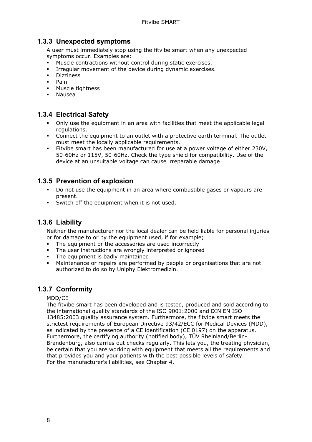### **1.3.3 Unexpected symptoms**

A user must immediately stop using the fitvibe smart when any unexpected symptoms occur. Examples are:

- Muscle contractions without control during static exercises.
- Irregular movement of the device during dynamic exercises.
- **Dizziness**
- **Pain**
- **Muscle tightness**
- Nausea

### **1.3.4 Electrical Safety**

- Only use the equipment in an area with facilities that meet the applicable legal regulations.
- Connect the equipment to an outlet with a protective earth terminal. The outlet must meet the locally applicable requirements.
- Fitvibe smart has been manufactured for use at a power voltage of either 230V, 50-60Hz or 115V, 50-60Hz. Check the type shield for compatibility. Use of the device at an unsuitable voltage can cause irreparable damage

### **1.3.5 Prevention of explosion**

- Do not use the equipment in an area where combustible gases or vapours are present.
- Switch off the equipment when it is not used.

### **1.3.6 Liability**

Neither the manufacturer nor the local dealer can be held liable for personal injuries or for damage to or by the equipment used, if for example;

- The equipment or the accessories are used incorrectly
- The user instructions are wrongly interpreted or ignored
- The equipment is badly maintained
- Maintenance or repairs are performed by people or organisations that are not authorized to do so by Uniphy Elektromedizin.

### **1.3.7 Conformity**

#### MDD/CE

The fitvibe smart has been developed and is tested, produced and sold according to the international quality standards of the ISO 9001:2000 and DIN EN ISO 13485:2003 quality assurance system. Furthermore, the fitvibe smart meets the strictest requirements of European Directive 93/42/ECC for Medical Devices (MDD), as indicated by the presence of a CE identification (CE 0197) on the apparatus. Furthermore, the certifying authority (notified body), TÜV Rheinland/Berlin-Brandenburg, also carries out checks regularly. This lets you, the treating physician, be certain that you are working with equipment that meets all the requirements and that provides you and your patients with the best possible levels of safety. For the manufacturer's liabilities, see Chapter 4.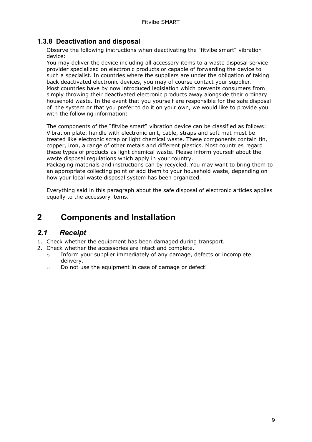# **1.3.8 Deactivation and disposal**

Observe the following instructions when deactivating the "fitvibe smart" vibration device:

You may deliver the device including all accessory items to a waste disposal service provider specialized on electronic products or capable of forwarding the device to such a specialist. In countries where the suppliers are under the obligation of taking back deactivated electronic devices, you may of course contact your supplier. Most countries have by now introduced legislation which prevents consumers from simply throwing their deactivated electronic products away alongside their ordinary household waste. In the event that you yourself are responsible for the safe disposal of the system or that you prefer to do it on your own, we would like to provide you with the following information:

The components of the "fitvibe smart" vibration device can be classified as follows: Vibration plate, handle with electronic unit, cable, straps and soft mat must be treated like electronic scrap or light chemical waste. These components contain tin, copper, iron, a range of other metals and different plastics. Most countries regard these types of products as light chemical waste. Please inform yourself about the waste disposal regulations which apply in your country.

Packaging materials and instructions can by recycled. You may want to bring them to an appropriate collecting point or add them to your household waste, depending on how your local waste disposal system has been organized.

Everything said in this paragraph about the safe disposal of electronic articles applies equally to the accessory items.

# **2 Components and Installation**

# *2.1 Receipt*

- 1. Check whether the equipment has been damaged during transport.
- 2. Check whether the accessories are intact and complete.
	- $\circ$  Inform your supplier immediately of any damage, defects or incomplete delivery.
	- o Do not use the equipment in case of damage or defect!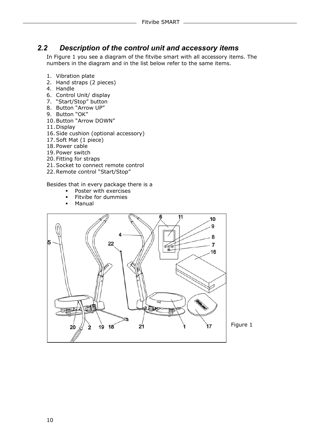# *2.2 Description of the control unit and accessory items*

In Figure 1 you see a diagram of the fitvibe smart with all accessory items. The numbers in the diagram and in the list below refer to the same items.

- 1. Vibration plate
- 2. Hand straps (2 pieces)
- 4. Handle
- 6. Control Unit/ display
- 7. "Start/Stop" button
- 8. Button "Arrow UP"
- 9. Button "OK"
- 10.Button "Arrow DOWN"
- 11. Display
- 16.Side cushion (optional accessory)
- 17.Soft Mat (1 piece)
- 18. Power cable
- 19. Power switch
- 20. Fitting for straps
- 21.Socket to connect remote control
- 22.Remote control "Start/Stop"

Besides that in every package there is a

- **Poster with exercises**
- **Fitvibe for dummies**
- **-** Manual



Figure 1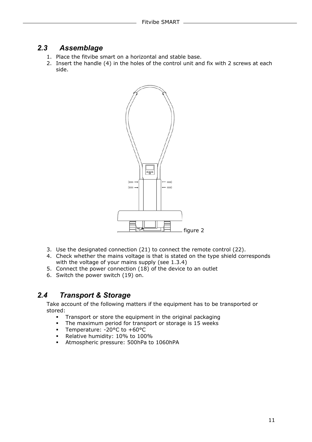# *2.3 Assemblage*

- 1. Place the fitvibe smart on a horizontal and stable base.
- 2. Insert the handle (4) in the holes of the control unit and fix with 2 screws at each side.



- 3. Use the designated connection (21) to connect the remote control (22).
- 4. Check whether the mains voltage is that is stated on the type shield corresponds with the voltage of your mains supply (see 1.3.4)
- 5. Connect the power connection (18) of the device to an outlet
- 6. Switch the power switch (19) on.

# *2.4 Transport & Storage*

Take account of the following matters if the equipment has to be transported or stored:

- **Transport or store the equipment in the original packaging**
- The maximum period for transport or storage is 15 weeks<br>Temperature: -20°C to +60°C
- 
- Temperature: -20°C to +60°C<br>Relative humidity: 10% to 100 Relative humidity: 10% to 100%
- Atmospheric pressure: 500hPa to 1060hPA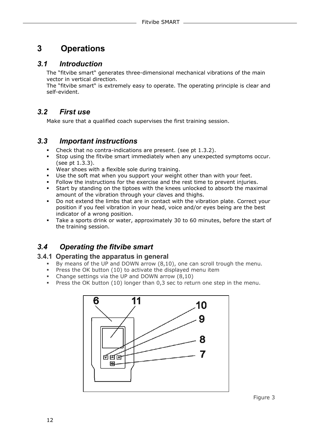# **3 Operations**

# *3.1 Introduction*

The "fitvibe smart" generates three-dimensional mechanical vibrations of the main vector in vertical direction.

The "fitvibe smart" is extremely easy to operate. The operating principle is clear and self-evident.

# *3.2 First use*

Make sure that a qualified coach supervises the first training session.

# *3.3 Important instructions*

- Check that no contra-indications are present. (see pt 1.3.2).
- Stop using the fitvibe smart immediately when any unexpected symptoms occur. (see pt 1.3.3).
- Wear shoes with a flexible sole during training.
- Use the soft mat when you support your weight other than with your feet.
- Follow the instructions for the exercise and the rest time to prevent injuries.
- Start by standing on the tiptoes with the knees unlocked to absorb the maximal amount of the vibration through your claves and thighs.
- Do not extend the limbs that are in contact with the vibration plate. Correct your position if you feel vibration in your head, voice and/or eyes being are the best indicator of a wrong position.
- Take a sports drink or water, approximately 30 to 60 minutes, before the start of the training session.

# *3.4 Operating the fitvibe smart*

### **3.4.1 Operating the apparatus in general**

- By means of the UP and DOWN arrow (8,10), one can scroll trough the menu.
- **Press the OK button (10) to activate the displayed menu item**
- Change settings via the UP and DOWN arrow (8,10)
- **Press the OK button (10) longer than 0,3 sec to return one step in the menu.**

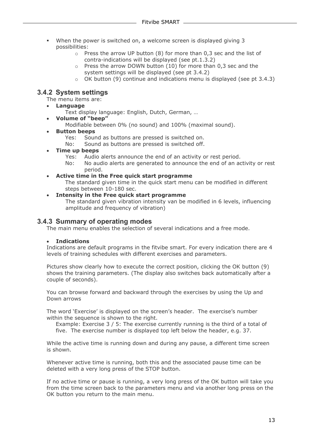- When the power is switched on, a welcome screen is displayed giving 3 possibilities:
	- o Press the arrow UP button (8) for more than 0,3 sec and the list of contra-indications will be displayed (see pt.1.3.2)
	- o Press the arrow DOWN button (10) for more than 0,3 sec and the system settings will be displayed (see pt 3.4.2)
	- $\circ$  OK button (9) continue and indications menu is displayed (see pt 3.4.3)

#### **3.4.2 System settings**

The menu items are:

• **Language** 

Text display language: English, Dutch, German, …

• **Volume of "beep"** 

Modifiable between 0% (no sound) and 100% (maximal sound).

- **Button beeps**
	- Yes: Sound as buttons are pressed is switched on.
	- No: Sound as buttons are pressed is switched off.
- **Time up beeps**
	- Yes: Audio alerts announce the end of an activity or rest period.
	- No: No audio alerts are generated to announce the end of an activity or rest period.
- **Active time in the Free quick start programme**

The standard given time in the quick start menu can be modified in different steps between 10-180 sec.

• **Intensity in the Free quick start programme** The standard given vibration intensity van be modified in 6 levels, influencing amplitude and frequency of vibration)

#### **3.4.3 Summary of operating modes**

The main menu enables the selection of several indications and a free mode.

#### • **Indications**

Indications are default programs in the fitvibe smart. For every indication there are 4 levels of training schedules with different exercises and parameters.

Pictures show clearly how to execute the correct position, clicking the OK button (9) shows the training parameters. (The display also switches back automatically after a couple of seconds).

You can browse forward and backward through the exercises by using the Up and Down arrows

The word 'Exercise' is displayed on the screen's header. The exercise's number within the sequence is shown to the right.

Example: Exercise 3 / 5: The exercise currently running is the third of a total of five. The exercise number is displayed top left below the header, e.g. 37.

While the active time is running down and during any pause, a different time screen is shown.

Whenever active time is running, both this and the associated pause time can be deleted with a very long press of the STOP button.

If no active time or pause is running, a very long press of the OK button will take you from the time screen back to the parameters menu and via another long press on the OK button you return to the main menu.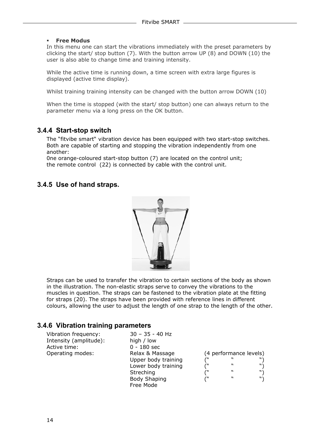#### **Free Modus**

In this menu one can start the vibrations immediately with the preset parameters by clicking the start/ stop button (7). With the button arrow UP (8) and DOWN (10) the user is also able to change time and training intensity.

While the active time is running down, a time screen with extra large figures is displayed (active time display).

Whilst training training intensity can be changed with the button arrow DOWN (10)

When the time is stopped (with the start/ stop button) one can always return to the parameter menu via a long press on the OK button.

#### **3.4.4 Start-stop switch**

The "fitvibe smart" vibration device has been equipped with two start-stop switches. Both are capable of starting and stopping the vibration independently from one another:

0ne orange-coloured start-stop button (7) are located on the control unit; the remote control (22) is connected by cable with the control unit.

### **3.4.5 Use of hand straps.**



Straps can be used to transfer the vibration to certain sections of the body as shown in the illustration. The non-elastic straps serve to convey the vibrations to the muscles in question. The straps can be fastened to the vibration plate at the fitting for straps (20). The straps have been provided with reference lines in different colours, allowing the user to adjust the length of one strap to the length of the other.

### **3.4.6 Vibration training parameters**

| Vibration frequency:   | $30 - 35 - 40$ Hz   |     |                        |           |
|------------------------|---------------------|-----|------------------------|-----------|
| Intensity (amplitude): | high $/$ low        |     |                        |           |
| Active time:           | $0 - 180$ sec       |     |                        |           |
| Operating modes:       | Relax & Massage     |     | (4 performance levels) |           |
|                        | Upper body training | ៸៶៶ | w                      | "         |
|                        | Lower body training | ៸៶៶ | w                      | w,        |
|                        | Streching           | ៸៶៶ | $\boldsymbol{v}$       | n 1       |
|                        | <b>Body Shaping</b> | ៸៶៶ | w                      | <b>MA</b> |
|                        | Free Mode           |     |                        |           |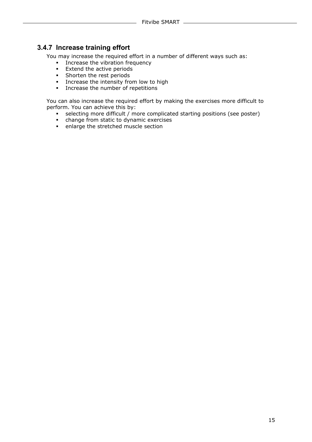### **3.4.7 Increase training effort**

You may increase the required effort in a number of different ways such as:

- **Increase the vibration frequency**
- **Extend the active periods**
- **Shorten the rest periods**
- **Increase the intensity from low to high**
- **Increase the number of repetitions**

You can also increase the required effort by making the exercises more difficult to perform. You can achieve this by:

- selecting more difficult / more complicated starting positions (see poster)
- change from static to dynamic exercises
- **•** enlarge the stretched muscle section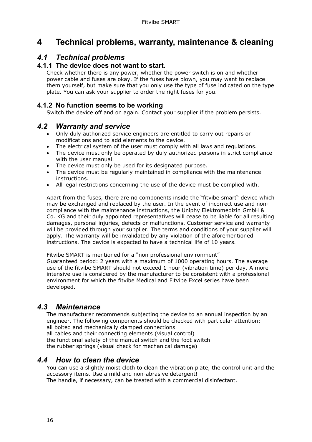# **4 Technical problems, warranty, maintenance & cleaning**

### *4.1 Technical problems*

### **4.1.1 The device does not want to start.**

Check whether there is any power, whether the power switch is on and whether power cable and fuses are okay. If the fuses have blown, you may want to replace them yourself, but make sure that you only use the type of fuse indicated on the type plate. You can ask your supplier to order the right fuses for you.

### **4.1.2 No function seems to be working**

Switch the device off and on again. Contact your supplier if the problem persists.

### *4.2 Warranty and service*

- Only duly authorized service engineers are entitled to carry out repairs or modifications and to add elements to the device.
- The electrical system of the user must comply with all laws and regulations.
- The device must only be operated by duly authorized persons in strict compliance with the user manual.
- The device must only be used for its designated purpose.
- The device must be regularly maintained in compliance with the maintenance instructions.
- All legal restrictions concerning the use of the device must be complied with.

Apart from the fuses, there are no components inside the "fitvibe smart" device which may be exchanged and replaced by the user. In the event of incorrect use and noncompliance with the maintenance instructions, the Uniphy Elektromedizin GmbH & Co. KG and their duly appointed representatives will cease to be liable for all resulting damages, personal injuries, defects or malfunctions. Customer service and warranty will be provided through your supplier. The terms and conditions of your supplier will apply. The warranty will be invalidated by any violation of the aforementioned instructions. The device is expected to have a technical life of 10 years.

Fitvibe SMART is mentioned for a "non professional environment"

Guaranteed period: 2 years with a maximum of 1000 operating hours. The average use of the fitvibe SMART should not exceed 1 hour (vibration time) per day. A more intensive use is considered by the manufacturer to be consistent with a professional environment for which the fitvibe Medical and Fitvibe Excel series have been developed.

# *4.3 Maintenance*

The manufacturer recommends subjecting the device to an annual inspection by an engineer. The following components should be checked with particular attention: all bolted and mechanically clamped connections all cables and their connecting elements (visual control) the functional safety of the manual switch and the foot switch

the rubber springs (visual check for mechanical damage)

### *4.4 How to clean the device*

You can use a slightly moist cloth to clean the vibration plate, the control unit and the accessory items. Use a mild and non-abrasive detergent! The handle, if necessary, can be treated with a commercial disinfectant.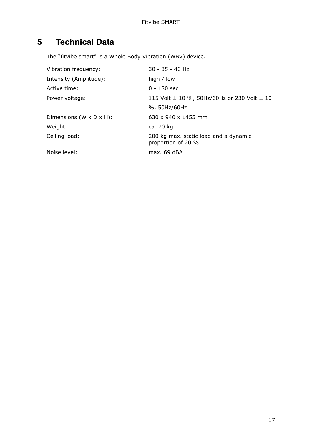# **5 Technical Data**

The "fitvibe smart" is a Whole Body Vibration (WBV) device.

| Vibration frequency:                  | $30 - 35 - 40$ Hz                                           |
|---------------------------------------|-------------------------------------------------------------|
| Intensity (Amplitude):                | high $/$ low                                                |
| Active time:                          | $0 - 180$ sec                                               |
| Power voltage:                        | 115 Volt $\pm$ 10 %, 50Hz/60Hz or 230 Volt $\pm$ 10         |
|                                       | %, 50Hz/60Hz                                                |
| Dimensions ( $W \times D \times H$ ): | $630 \times 940 \times 1455$ mm                             |
| Weight:                               | ca. 70 kg                                                   |
| Ceiling load:                         | 200 kg max. static load and a dynamic<br>proportion of 20 % |
| Noise level:                          | max. 69 dBA                                                 |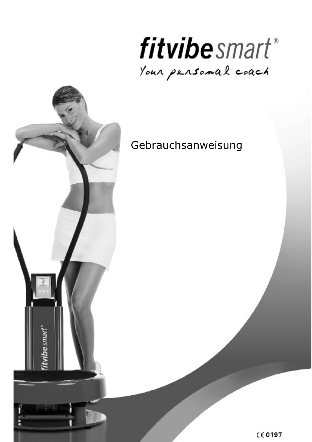fitvibe smart<sup>®</sup> Your personal coach

# Gebrauchsanweisung

<u>1990 - Johann Stein, Amerikaansk politiker (</u>

esma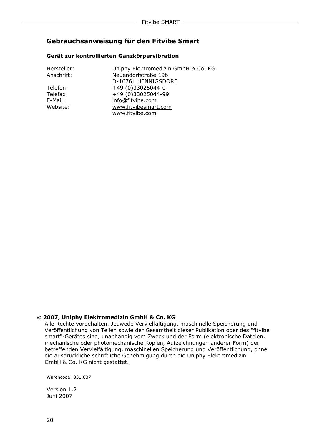### **Gebrauchsanweisung für den Fitvibe Smart**

#### **Gerät zur kontrollierten Ganzkörpervibration**

| Hersteller:<br>Anschrift:                   | Uniphy Elektromedizin GmbH & Co. KG<br>Neuendorfstraße 19b<br>D-16761 HENNIGSDORF                      |
|---------------------------------------------|--------------------------------------------------------------------------------------------------------|
| Telefon:<br>Telefax:<br>E-Mail:<br>Website: | +49 (0)33025044-0<br>+49 (0)33025044-99<br>info@fitvibe.com<br>www.fitvibesmart.com<br>www.fitvibe.com |

#### **2007, Uniphy Elektromedizin GmbH & Co. KG**

Alle Rechte vorbehalten. Jedwede Vervielfältigung, maschinelle Speicherung und Veröffentlichung von Teilen sowie der Gesamtheit dieser Publikation oder des "fitvibe smart"-Gerätes sind, unabhängig vom Zweck und der Form (elektronische Dateien, mechanische oder photomechanische Kopien, Aufzeichnungen anderer Form) der betreffenden Vervielfältigung, maschinellen Speicherung und Veröffentlichung, ohne die ausdrückliche schriftliche Genehmigung durch die Uniphy Elektromedizin GmbH & Co. KG nicht gestattet.

Warencode: 331.837

Version 1.2 Juni 2007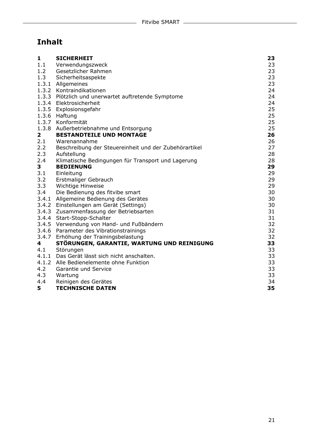# **Inhalt**

| 1     | <b>SICHERHEIT</b>                                     | 23 |
|-------|-------------------------------------------------------|----|
| 1.1   | Verwendungszweck                                      | 23 |
| 1.2   | Gesetzlicher Rahmen                                   | 23 |
| 1.3   | Sicherheitsaspekte                                    | 23 |
|       | 1.3.1 Allgemeines                                     | 23 |
| 1.3.2 | Kontraindikationen                                    | 24 |
|       | 1.3.3 Plötzlich und unerwartet auftretende Symptome   | 24 |
|       | 1.3.4 Elektrosicherheit                               | 24 |
|       | 1.3.5 Explosionsgefahr                                | 25 |
|       | 1.3.6 Haftung                                         | 25 |
| 1.3.7 | Konformität                                           | 25 |
|       | 1.3.8 Außerbetriebnahme und Entsorgung                | 25 |
| 2     | <b>BESTANDTEILE UND MONTAGE</b>                       | 26 |
| 2.1   | Warenannahme                                          | 26 |
| 2.2   | Beschreibung der Steuereinheit und der Zubehörartikel | 27 |
| 2.3   | Aufstellung                                           | 28 |
| 2.4   | Klimatische Bedingungen für Transport und Lagerung    | 28 |
| 3     | <b>BEDIENUNG</b>                                      | 29 |
| 3.1   | Einleitung                                            | 29 |
| 3.2   | Erstmaliger Gebrauch                                  | 29 |
| 3.3   | Wichtige Hinweise                                     | 29 |
| 3.4   | Die Bedienung des fitvibe smart                       | 30 |
| 3.4.1 | Allgemeine Bedienung des Gerätes                      | 30 |
| 3.4.2 | Einstellungen am Gerät (Settings)                     | 30 |
|       | 3.4.3 Zusammenfassung der Betriebsarten               | 31 |
|       | 3.4.4 Start-Stopp-Schalter                            | 31 |
|       | 3.4.5 Verwendung von Hand- und Fußbändern             | 32 |
| 3.4.6 | Parameter des Vibrationstrainings                     | 32 |
| 3.4.7 | Erhöhung der Trainingsbelastung                       | 32 |
| 4     | STÖRUNGEN, GARANTIE, WARTUNG UND REINIGUNG            | 33 |
| 4.1   | Störungen                                             | 33 |
| 4.1.1 | Das Gerät lässt sich nicht anschalten.                | 33 |
|       | 4.1.2 Alle Bedienelemente ohne Funktion               | 33 |
| 4.2   | Garantie und Service                                  | 33 |
| 4.3   | Wartung                                               | 33 |
| 4.4   | Reinigen des Gerätes                                  | 34 |
| 5     | <b>TECHNISCHE DATEN</b>                               | 35 |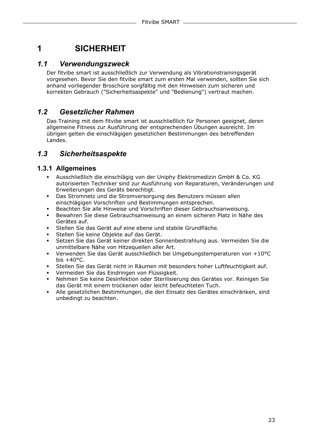# **1 SICHERHEIT**

# *1.1 Verwendungszweck*

Der fitvibe smart ist ausschließlich zur Verwendung als Vibrationstrainingsgerät vorgesehen. Bevor Sie den fitvibe smart zum ersten Mal verwenden, sollten Sie sich anhand vorliegender Broschüre sorgfältig mit den Hinweisen zum sicheren und korrekten Gebrauch ("Sicherheitsaspekte" und "Bedienung") vertraut machen.

# *1.2 Gesetzlicher Rahmen*

Das Training mit dem fitvibe smart ist ausschließlich für Personen geeignet, deren allgemeine Fitness zur Ausführung der entsprechenden Übungen ausreicht. Im übrigen gelten die einschlägigen gesetzlichen Bestimmungen des betreffenden Landes.

# *1.3 Sicherheitsaspekte*

### **1.3.1 Allgemeines**

- Ausschließlich die einschlägig von der Uniphy Elektromedizin GmbH & Co. KG autorisierten Techniker sind zur Ausführung von Reparaturen, Veränderungen und Erweiterungen des Geräts berechtigt.
- Das Stromnetz und die Stromversorgung des Benutzers müssen allen einschlägigen Vorschriften und Bestimmungen entsprechen.
- Beachten Sie alle Hinweise und Vorschriften dieser Gebrauchsanweisung.
- Bewahren Sie diese Gebrauchsanweisung an einem sicheren Platz in Nähe des Gerätes auf.
- Stellen Sie das Gerät auf eine ebene und stabile Grundfläche.
- Stellen Sie keine Objekte auf das Gerät.
- Setzen Sie das Gerät keiner direkten Sonnenbestrahlung aus. Vermeiden Sie die unmittelbare Nähe von Hitzequellen aller Art.
- Verwenden Sie das Gerät ausschließlich bei Umgebungstemperaturen von +10°C bis  $+40^{\circ}$ C.
- Stellen Sie das Gerät nicht in Räumen mit besonders hoher Luftfeuchtigkeit auf.
- Vermeiden Sie das Eindringen von Flüssigkeit.
- Nehmen Sie keine Desinfektion oder Sterilisierung des Gerätes vor. Reinigen Sie das Gerät mit einem trockenen oder leicht befeuchteten Tuch.
- Alle gesetzlichen Bestimmungen, die den Einsatz des Gerätes einschränken, sind unbedingt zu beachten.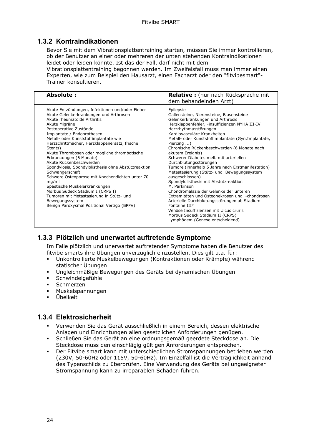# **1.3.2 Kontraindikationen**

Bevor Sie mit dem Vibrationsplattentraining starten, müssen Sie immer kontrollieren, ob der Benutzer an einer oder mehreren der unten stehenden Kontraindikationen leidet oder leiden könnte. Ist das der Fall, darf nicht mit dem

Vibrationsplattentraining begonnen werden. Im Zweifelsfall muss man immer einen Experten, wie zum Beispiel den Hausarzt, einen Facharzt oder den "fitvibesmart"- Trainer konsultieren.

| Absolute:                                                                                                                                                                                                                                                                                                                                                                                                                                                                                                                                                                                                                                                                                                                             | Relative : (nur nach Rücksprache mit<br>dem behandelnden Arzt)                                                                                                                                                                                                                                                                                                                                                                                                                                                                                                                                                                                                                                                                                                                                                                                                                          |
|---------------------------------------------------------------------------------------------------------------------------------------------------------------------------------------------------------------------------------------------------------------------------------------------------------------------------------------------------------------------------------------------------------------------------------------------------------------------------------------------------------------------------------------------------------------------------------------------------------------------------------------------------------------------------------------------------------------------------------------|-----------------------------------------------------------------------------------------------------------------------------------------------------------------------------------------------------------------------------------------------------------------------------------------------------------------------------------------------------------------------------------------------------------------------------------------------------------------------------------------------------------------------------------------------------------------------------------------------------------------------------------------------------------------------------------------------------------------------------------------------------------------------------------------------------------------------------------------------------------------------------------------|
| Akute Entzündungen, Infektionen und/oder Fieber<br>Akute Gelenkerkrankungen und Arthrosen<br>Akute rheumatoide Arthritis<br>Akute Migräne<br>Postoperative Zustände<br>Implantate / Endoprothesen<br>Metall- oder Kunststoffimplantate wie<br>Herzschrittmacher, Herzklappenersatz, frische<br>Stents)<br>Akute Thrombosen oder mögliche thrombotische<br>Erkrankungen (6 Monate)<br>Akute Rückenbeschwerden<br>Spondylosis, Spondylolisthesis ohne Abstützreaktion<br>Schwangerschaft<br>Schwere Osteoporose mit Knochendichten unter 70<br>mq/ml<br>Spastische Muskelerkrankungen<br>Morbus Sudeck Stadium I (CRPS I)<br>Tumoren mit Metastasierung in Stütz- und<br>Bewegungssystem<br>Benign Paroxysmal Positional Vertigo (BPPV) | Epilepsie<br>Gallensteine, Nierensteine, Blasensteine<br>Gelenkerkrankungen und Arthrosis<br>Herzklappenfehler, -insuffizienzen NYHA III-IV<br>Herzrhythmusstörungen<br>Kardiovasculäre Krankheiten<br>Metall- oder Kunststoffimplantate (Gyn.Implantate,<br>Piercing )<br>Chronische Rückenbeschwerden (6 Monate nach<br>akutem Ereignis)<br>Schwerer Diabetes mell, mit arteriellen<br>Durchblutungsstörungen<br>Tumore (innerhalb 5 Jahre nach Erstmanifestation)<br>Metastasierung (Stütz- und Bewegungssystem<br>ausgeschlossen)<br>Spondylolisthesis mit Abstützreaktion<br>M. Parkinson<br>Chondromalazie der Gelenke der unteren<br>Extremitäten und Osteonekrosen und -chondrosen<br>Arterielle Durchblutungsstörungen ab Stadium<br>Fontaine III <sup>o</sup><br>Venöse Insuffizienzen mit Ulcus cruris<br>Morbus Sudeck Stadium II (CRPS)<br>Lymphödem (Genese entscheidend) |

# **1.3.3 Plötzlich und unerwartet auftretende Symptome**

Im Falle plötzlich und unerwartet auftretender Symptome haben die Benutzer des fitvibe smarts ihre Übungen unverzüglich einzustellen. Dies gilt u.a. für:

- Unkontrollierte Muskelbewegungen (Kontraktionen oder Krämpfe) während statischer Übungen
- Ungleichmäßige Bewegungen des Geräts bei dynamischen Übungen
- Schwindelgefühle
- Schmerzen
- Muskelspannungen
- Übelkeit

### **1.3.4 Elektrosicherheit**

- Verwenden Sie das Gerät ausschließlich in einem Bereich, dessen elektrische Anlagen und Einrichtungen allen gesetzlichen Anforderungen genügen.
- Schließen Sie das Gerät an eine ordnungsgemäß geerdete Steckdose an. Die Steckdose muss den einschlägig gültigen Anforderungen entsprechen.
- Der Fitvibe smart kann mit unterschiedlichen Stromspannungen betrieben werden (230V, 50-60Hz oder 115V, 50-60Hz). Im Einzelfall ist die Verträglichkeit anhand des Typenschilds zu überprüfen. Eine Verwendung des Geräts bei ungeeigneter Stromspannung kann zu irreparablen Schäden führen.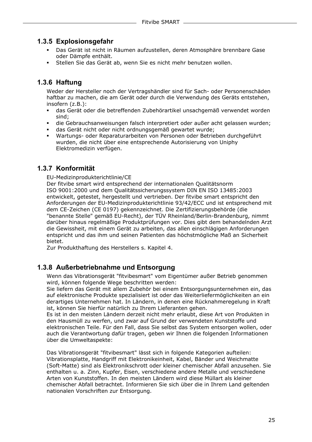### **1.3.5 Explosionsgefahr**

- Das Gerät ist nicht in Räumen aufzustellen, deren Atmosphäre brennbare Gase oder Dämpfe enthält.
- Stellen Sie das Gerät ab, wenn Sie es nicht mehr benutzen wollen.

# **1.3.6 Haftung**

Weder der Hersteller noch der Vertragshändler sind für Sach- oder Personenschäden haftbar zu machen, die am Gerät oder durch die Verwendung des Geräts entstehen, insofern (z.B.):

- das Gerät oder die betreffenden Zubehörartikel unsachgemäß verwendet worden sind;
- die Gebrauchsanweisungen falsch interpretiert oder außer acht gelassen wurden;
- das Gerät nicht oder nicht ordnungsgemäß gewartet wurde;
- Wartungs- oder Reparaturarbeiten von Personen oder Betrieben durchgeführt wurden, die nicht über eine entsprechende Autorisierung von Uniphy Elektromedizin verfügen.

### **1.3.7 Konformität**

EU-Medizinprodukterichtlinie/CE

Der fitvibe smart wird entsprechend der internationalen Qualitätsnorm ISO 9001:2000 und dem Qualitätssicherungssystem DIN EN ISO 13485:2003 entwickelt, getestet, hergestellt und vertrieben. Der fitvibe smart entspricht den Anforderungen der EU-Medizinprodukterichtlinie 93/42/ECC und ist entsprechend mit dem CE-Zeichen (CE 0197) gekennzeichnet. Die Zertifizierungsbehörde (die "benannte Stelle" gemäß EU-Recht), der TÜV Rheinland/Berlin-Brandenburg, nimmt darüber hinaus regelmäßige Produktprüfungen vor. Dies gibt dem behandelnden Arzt die Gewissheit, mit einem Gerät zu arbeiten, das allen einschlägigen Anforderungen entspricht und das ihm und seinen Patienten das höchstmögliche Maß an Sicherheit bietet.

Zur Produkthaftung des Herstellers s. Kapitel 4.

### **1.3.8 Außerbetriebnahme und Entsorgung**

Wenn das Vibrationsgerät "fitvibesmart" vom Eigentümer außer Betrieb genommen wird, können folgende Wege beschritten werden:

Sie liefern das Gerät mit allem Zubehör bei einem Entsorgungsunternehmen ein, das auf elektronische Produkte spezialisiert ist oder das Weiterliefermöglichkeiten an ein derartiges Unternehmen hat. In Ländern, in denen eine Rücknahmeregelung in Kraft ist, können Sie hierfür natürlich zu Ihrem Lieferanten gehen.

Es ist in den meisten Ländern derzeit nicht mehr erlaubt, diese Art von Produkten in den Hausmüll zu werfen, und zwar auf Grund der verwendeten Kunststoffe und elektronischen Teile. Für den Fall, dass Sie selbst das System entsorgen wollen, oder auch die Verantwortung dafür tragen, geben wir Ihnen die folgenden Informationen über die Umweltaspekte:

Das Vibrationsgerät "fitvibesmart" lässt sich in folgende Kategorien aufteilen: Vibrationsplatte, Handgriff mit Elektronikeinheit, Kabel, Bänder und Weichmatte (Soft-Matte) sind als Elektronikschrott oder kleiner chemischer Abfall anzusehen. Sie enthalten u. a. Zinn, Kupfer, Eisen, verschiedene andere Metalle und verschiedene Arten von Kunststoffen. In den meisten Ländern wird diese Müllart als kleiner chemischer Abfall betrachtet. Informieren Sie sich über die in Ihrem Land geltenden nationalen Vorschriften zur Entsorgung.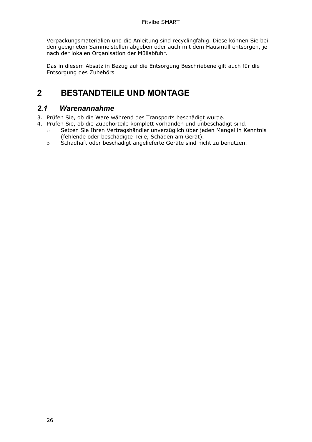Verpackungsmaterialien und die Anleitung sind recyclingfähig. Diese können Sie bei den geeigneten Sammelstellen abgeben oder auch mit dem Hausmüll entsorgen, je nach der lokalen Organisation der Müllabfuhr.

Das in diesem Absatz in Bezug auf die Entsorgung Beschriebene gilt auch für die Entsorgung des Zubehörs

# **2 BESTANDTEILE UND MONTAGE**

# *2.1 Warenannahme*

- 3. Prüfen Sie, ob die Ware während des Transports beschädigt wurde.
- 4. Prüfen Sie, ob die Zubehörteile komplett vorhanden und unbeschädigt sind.
	- o Setzen Sie Ihren Vertragshändler unverzüglich über jeden Mangel in Kenntnis (fehlende oder beschädigte Teile, Schäden am Gerät).
	- o Schadhaft oder beschädigt angelieferte Geräte sind nicht zu benutzen.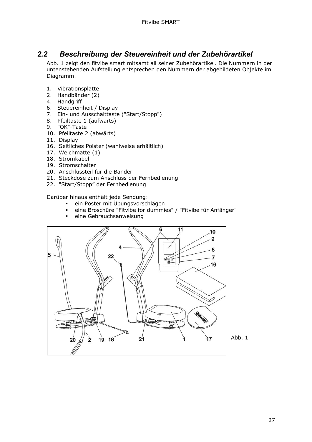# *2.2 Beschreibung der Steuereinheit und der Zubehörartikel*

Abb. 1 zeigt den fitvibe smart mitsamt all seiner Zubehörartikel. Die Nummern in der untenstehenden Aufstellung entsprechen den Nummern der abgebildeten Objekte im Diagramm.

- 1. Vibrationsplatte
- 2. Handbänder (2)
- 4. Handgriff
- 6. Steuereinheit / Display
- 7. Ein- und Ausschalttaste ("Start/Stopp")
- 8. Pfeiltaste 1 (aufwärts)
- 9. "OK"-Taste
- 10. Pfeiltaste 2 (abwärts)
- 11. Display
- 16. Seitliches Polster (wahlweise erhältlich)
- 17. Weichmatte (1)
- 18. Stromkabel
- 19. Stromschalter
- 20. Anschlussteil für die Bänder
- 21. Steckdose zum Anschluss der Fernbedienung
- 22. "Start/Stopp" der Fernbedienung

Darüber hinaus enthält jede Sendung:

- ein Poster mit Übungsvorschlägen
- eine Broschüre "Fitvibe for dummies" / "Fitvibe für Anfänger"
- **EXEC** eine Gebrauchsanweisung



Abb. 1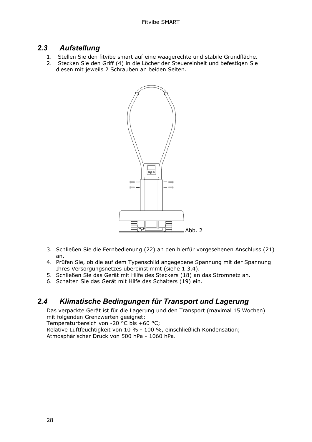# *2.3 Aufstellung*

- 1. Stellen Sie den fitvibe smart auf eine waagerechte und stabile Grundfläche.
- 2. Stecken Sie den Griff (4) in die Löcher der Steuereinheit und befestigen Sie diesen mit jeweils 2 Schrauben an beiden Seiten.



- 3. Schließen Sie die Fernbedienung (22) an den hierfür vorgesehenen Anschluss (21) an.
- 4. Prüfen Sie, ob die auf dem Typenschild angegebene Spannung mit der Spannung Ihres Versorgungsnetzes übereinstimmt (siehe 1.3.4).
- 5. Schließen Sie das Gerät mit Hilfe des Steckers (18) an das Stromnetz an.
- 6. Schalten Sie das Gerät mit Hilfe des Schalters (19) ein.

# *2.4 Klimatische Bedingungen für Transport und Lagerung*

Das verpackte Gerät ist für die Lagerung und den Transport (maximal 15 Wochen) mit folgenden Grenzwerten geeignet:

Temperaturbereich von -20 °C bis +60 °C;

Relative Luftfeuchtigkeit von 10 % - 100 %, einschließlich Kondensation; Atmosphärischer Druck von 500 hPa - 1060 hPa.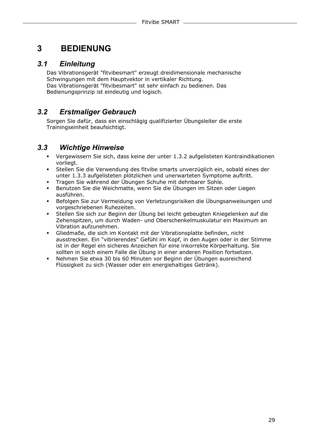# **3 BEDIENUNG**

# *3.1 Einleitung*

Das Vibrationsgerät "fitvibesmart" erzeugt dreidimensionale mechanische Schwingungen mit dem Hauptvektor in vertikaler Richtung. Das Vibrationsgerät "fitvibesmart" ist sehr einfach zu bedienen. Das Bedienungsprinzip ist eindeutig und logisch.

# *3.2 Erstmaliger Gebrauch*

Sorgen Sie dafür, dass ein einschlägig qualifizierter Übungsleiter die erste Trainingseinheit beaufsichtigt.

# *3.3 Wichtige Hinweise*

- Vergewissern Sie sich, dass keine der unter 1.3.2 aufgelisteten Kontraindikationen vorliegt.
- Stellen Sie die Verwendung des fitvibe smarts unverzüglich ein, sobald eines der unter 1.3.3 aufgelisteten plötzlichen und unerwarteten Symptome auftritt.
- Tragen Sie während der Übungen Schuhe mit dehnbarer Sohle.
- Benutzen Sie die Weichmatte, wenn Sie die Übungen im Sitzen oder Liegen ausführen.
- Befolgen Sie zur Vermeidung von Verletzungsrisiken die Übungsanweisungen und vorgeschriebenen Ruhezeiten.
- Stellen Sie sich zur Beginn der Übung bei leicht gebeugten Kniegelenken auf die Zehenspitzen, um durch Waden- und Oberschenkelmuskulatur ein Maximum an Vibration aufzunehmen.
- Gliedmaße, die sich im Kontakt mit der Vibrationsplatte befinden, nicht ausstrecken. Ein "vibrierendes" Gefühl im Kopf, in den Augen oder in der Stimme ist in der Regel ein sicheres Anzeichen für eine inkorrekte Körperhaltung. Sie sollten in solch einem Falle die Übung in einer anderen Position fortsetzen.
- Nehmen Sie etwa 30 bis 60 Minuten vor Beginn der Übungen ausreichend Flüssigkeit zu sich (Wasser oder ein energiehaltiges Getränk).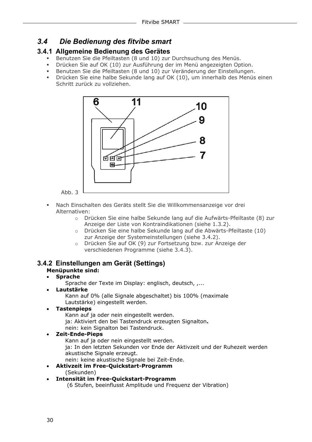# *3.4 Die Bedienung des fitvibe smart*

### **3.4.1 Allgemeine Bedienung des Gerätes**

- Benutzen Sie die Pfeiltasten (8 und 10) zur Durchsuchung des Menüs.
- Drücken Sie auf OK (10) zur Ausführung der im Menü angezeigten Option.
- Benutzen Sie die Pfeiltasten (8 und 10) zur Veränderung der Einstellungen.
- Drücken Sie eine halbe Sekunde lang auf OK (10), um innerhalb des Menüs einen Schritt zurück zu vollziehen.



- Nach Einschalten des Geräts stellt Sie die Willkommensanzeige vor drei Alternativen:
	- o Drücken Sie eine halbe Sekunde lang auf die Aufwärts-Pfeiltaste (8) zur Anzeige der Liste von Kontraindikationen (siehe 1.3.2).
	- o Drücken Sie eine halbe Sekunde lang auf die Abwärts-Pfeiltaste (10) zur Anzeige der Systemeinstellungen (siehe 3.4.2).
	- o Drücken Sie auf OK (9) zur Fortsetzung bzw. zur Anzeige der verschiedenen Programme (siehe 3.4.3).

# **3.4.2 Einstellungen am Gerät (Settings)**

### **Menüpunkte sind:**

- **Sprache** 
	- Sprache der Texte im Display: englisch, deutsch, ,...
- **Lautstärke**
	- Kann auf 0% (alle Signale abgeschaltet) bis 100% (maximale Lautstärke) eingestellt werden.
- **Tastenpieps**

Kann auf ja oder nein eingestellt werden. ja: Aktiviert den bei Tastendruck erzeugten Signalton**.**  nein: kein Signalton bei Tastendruck.

### • **Zeit-Ende-Pieps**

Kann auf ja oder nein eingestellt werden.

ja: In den letzten Sekunden vor Ende der Aktivzeit und der Ruhezeit werden akustische Signale erzeugt.

nein: keine akustische Signale bei Zeit-Ende.

- **Aktivzeit im Free-Quickstart-Programm**  (Sekunden)
- **Intensität im Free-Quickstart-Programm**

(6 Stufen, beeinflusst Amplitude und Frequenz der Vibration)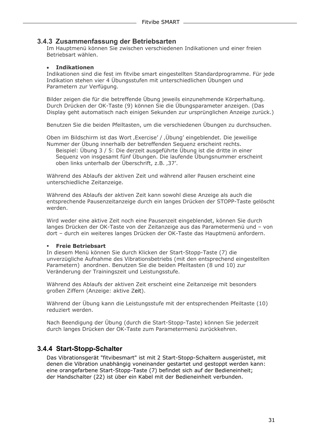### **3.4.3 Zusammenfassung der Betriebsarten**

Im Hauptmenü können Sie zwischen verschiedenen Indikationen und einer freien Betriebsart wählen.

#### • **Indikationen**

Indikationen sind die fest im fitvibe smart eingestellten Standardprogramme. Für jede Indikation stehen vier 4 Übungsstufen mit unterschiedlichen Übungen und Parametern zur Verfügung.

Bilder zeigen die für die betreffende Übung jeweils einzunehmende Körperhaltung. Durch Drücken der OK-Taste (9) können Sie die Übungsparameter anzeigen. (Das Display geht automatisch nach einigen Sekunden zur ursprünglichen Anzeige zurück.)

Benutzen Sie die beiden Pfeiltasten, um die verschiedenen Übungen zu durchsuchen.

Oben im Bildschirm ist das Wort , Exercise' / , Übung' eingeblendet. Die jeweilige Nummer der Übung innerhalb der betreffenden Sequenz erscheint rechts.

Beispiel: Übung 3 / 5: Die derzeit ausgeführte Übung ist die dritte in einer Sequenz von insgesamt fünf Übungen. Die laufende Übungsnummer erscheint oben links unterhalb der Überschrift, z.B. ,37'.

Während des Ablaufs der aktiven Zeit und während aller Pausen erscheint eine unterschiedliche Zeitanzeige.

Während des Ablaufs der aktiven Zeit kann sowohl diese Anzeige als auch die entsprechende Pausenzeitanzeige durch ein langes Drücken der STOPP-Taste gelöscht werden.

Wird weder eine aktive Zeit noch eine Pausenzeit eingeblendet, können Sie durch langes Drücken der OK-Taste von der Zeitanzeige aus das Parametermenü und – von dort – durch ein weiteres langes Drücken der OK-Taste das Hauptmenü anfordern.

#### **Freie Betriebsart**

In diesem Menü können Sie durch Klicken der Start-Stopp-Taste (7) die unverzügliche Aufnahme des Vibrationsbetriebs (mit den entsprechend eingestellten Parametern) anordnen. Benutzen Sie die beiden Pfeiltasten (8 und 10) zur Veränderung der Trainingszeit und Leistungsstufe.

Während des Ablaufs der aktiven Zeit erscheint eine Zeitanzeige mit besonders großen Ziffern (Anzeige: aktive Zeit).

Während der Übung kann die Leistungsstufe mit der entsprechenden Pfeiltaste (10) reduziert werden.

Nach Beendigung der Übung (durch die Start-Stopp-Taste) können Sie jederzeit durch langes Drücken der OK-Taste zum Parametermenü zurückkehren.

### **3.4.4 Start-Stopp-Schalter**

Das Vibrationsgerät "fitvibesmart" ist mit 2 Start-Stopp-Schaltern ausgerüstet, mit denen die Vibration unabhängig voneinander gestartet und gestoppt werden kann: eine orangefarbene Start-Stopp-Taste (7) befindet sich auf der Bedieneinheit; der Handschalter (22) ist über ein Kabel mit der Bedieneinheit verbunden.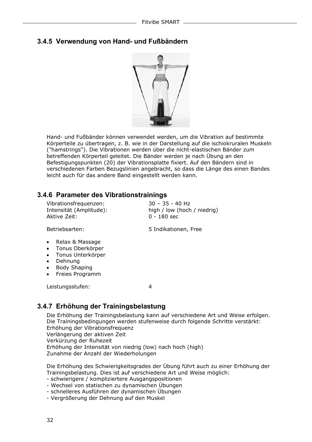### **3.4.5 Verwendung von Hand- und Fußbändern**



Hand- und Fußbänder können verwendet werden, um die Vibration auf bestimmte Körperteile zu übertragen, z. B. wie in der Darstellung auf die ischiokruralen Muskeln ("hamstrings"). Die Vibrationen werden über die nicht-elastischen Bänder zum betreffenden Körperteil geleitet. Die Bänder werden je nach Übung an den Befestigungspunkten (20) der Vibrationsplatte fixiert. Auf den Bändern sind in verschiedenen Farben Bezugslinien angebracht, so dass die Länge des einen Bandes leicht auch für das andere Band eingestellt werden kann.

### **3.4.6 Parameter des Vibrationstrainings**

Vibrationsfrequenzen: 30 – 35 - 40 Hz Aktive Zeit: 0 - 180 sec

Intensität (Amplitude): high / low (hoch / niedrig)

Betriebsarten: 5 Indikationen, Free

• Relax & Massage

- Tonus Oberkörper
- Tonus Unterkörper
- Dehnung
- Body Shaping

• Freies Programm

Leistungsstufen: 4

### **3.4.7 Erhöhung der Trainingsbelastung**

Die Erhöhung der Trainingsbelastung kann auf verschiedene Art und Weise erfolgen. Die Trainingsbedingungen werden stufenweise durch folgende Schritte verstärkt: Erhöhung der Vibrationsfrequenz Verlängerung der aktiven Zeit Verkürzung der Ruhezeit Erhöhung der Intensität von niedrig (low) nach hoch (high) Zunahme der Anzahl der Wiederholungen

Die Erhöhung des Schwierigkeitsgrades der Übung führt auch zu einer Erhöhung der Trainingsbelastung. Dies ist auf verschiedene Art und Weise möglich:

- schwierigere / kompliziertere Ausgangspositionen

- Wechsel von statischen zu dynamischen Übungen

- schnelleres Ausführen der dynamischen Übungen

- Vergrößerung der Dehnung auf den Muskel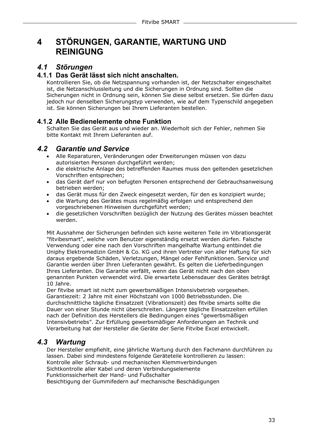# **4 STÖRUNGEN, GARANTIE, WARTUNG UND REINIGUNG**

# *4.1 Störungen*

### **4.1.1 Das Gerät lässt sich nicht anschalten.**

Kontrollieren Sie, ob die Netzspannung vorhanden ist, der Netzschalter eingeschaltet ist, die Netzanschlussleitung und die Sicherungen in Ordnung sind. Sollten die Sicherungen nicht in Ordnung sein, können Sie diese selbst ersetzen. Sie dürfen dazu jedoch nur denselben Sicherungstyp verwenden, wie auf dem Typenschild angegeben ist. Sie können Sicherungen bei Ihrem Lieferanten bestellen.

### **4.1.2 Alle Bedienelemente ohne Funktion**

Schalten Sie das Gerät aus und wieder an. Wiederholt sich der Fehler, nehmen Sie bitte Kontakt mit Ihrem Lieferanten auf.

# *4.2 Garantie und Service*

- Alle Reparaturen, Veränderungen oder Erweiterungen müssen von dazu autorisierten Personen durchgeführt werden;
- die elektrische Anlage des betreffenden Raumes muss den geltenden gesetzlichen Vorschriften entsprechen;
- das Gerät darf nur von befugten Personen entsprechend der Gebrauchsanweisung betrieben werden;
- das Gerät muss für den Zweck eingesetzt werden, für den es konzipiert wurde;
- die Wartung des Gerätes muss regelmäßig erfolgen und entsprechend den vorgeschriebenen Hinweisen durchgeführt werden;
- die gesetzlichen Vorschriften bezüglich der Nutzung des Gerätes müssen beachtet werden.

Mit Ausnahme der Sicherungen befinden sich keine weiteren Teile im Vibrationsgerät "fitvibesmart", welche vom Benutzer eigenständig ersetzt werden dürfen. Falsche Verwendung oder eine nach den Vorschriften mangelhafte Wartung entbindet die Uniphy Elektromedizin GmbH & Co. KG und ihren Vertreter von aller Haftung für sich daraus ergebende Schäden, Verletzungen, Mängel oder Fehlfunktionen. Service und Garantie werden über Ihren Lieferanten gewährt. Es gelten die Lieferbedingungen Ihres Lieferanten. Die Garantie verfällt, wenn das Gerät nicht nach den oben genannten Punkten verwendet wird. Die erwartete Lebensdauer des Gerätes beträgt 10 Jahre.

Der fitvibe smart ist nicht zum gewerbsmäßigen Intensivbetrieb vorgesehen. Garantiezeit: 2 Jahre mit einer Höchstzahl von 1000 Betriebsstunden. Die durchschnittliche tägliche Einsatzzeit (Vibrationszeit) des fitvibe smarts sollte die Dauer von einer Stunde nicht überschreiten. Längere tägliche Einsatzzeiten erfüllen nach der Definition des Herstellers die Bedingungen eines "gewerbsmäßigen Intensivbetriebs". Zur Erfüllung gewerbsmäßiger Anforderungen an Technik und Verarbeitung hat der Hersteller die Geräte der Serie Fitvibe Excel entwickelt.

# *4.3 Wartung*

Der Hersteller empfiehlt, eine jährliche Wartung durch den Fachmann durchführen zu lassen. Dabei sind mindestens folgende Geräteteile kontrollieren zu lassen: Kontrolle aller Schraub- und mechanischen Klemmverbindungen Sichtkontrolle aller Kabel und deren Verbindungselemente Funktionssicherheit der Hand- und Fußschalter Besichtigung der Gummifedern auf mechanische Beschädigungen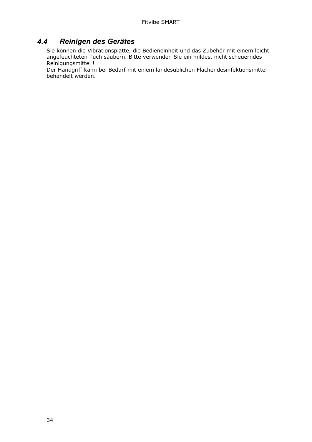# *4.4 Reinigen des Gerätes*

Sie können die Vibrationsplatte, die Bedieneinheit und das Zubehör mit einem leicht angefeuchteten Tuch säubern. Bitte verwenden Sie ein mildes, nicht scheuerndes Reinigungsmittel !

Der Handgriff kann bei Bedarf mit einem landesüblichen Flächendesinfektionsmittel behandelt werden.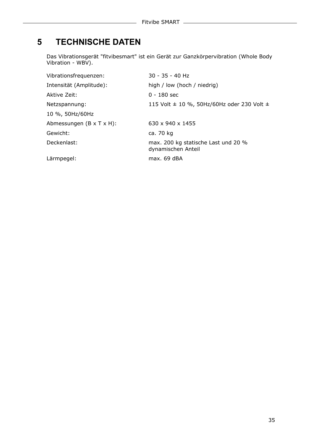# **5 TECHNISCHE DATEN**

Das Vibrationsgerät "fitvibesmart" ist ein Gerät zur Ganzkörpervibration (Whole Body Vibration - WBV).

| Vibrationsfrequenzen:                 | $30 - 35 - 40$ Hz                                         |
|---------------------------------------|-----------------------------------------------------------|
| Intensität (Amplitude):               | high / low (hoch / niedrig)                               |
| Aktive Zeit:                          | $0 - 180$ sec                                             |
| Netzspannung:                         | 115 Volt $\pm$ 10 %, 50Hz/60Hz oder 230 Volt $\pm$        |
| 10 %, 50Hz/60Hz                       |                                                           |
| Abmessungen $(B \times T \times H)$ : | $630 \times 940 \times 1455$                              |
| Gewicht:                              | ca. 70 kg                                                 |
| Deckenlast:                           | max. 200 kg statische Last und 20 %<br>dynamischen Anteil |
| Lärmpegel:                            | max. 69 dBA                                               |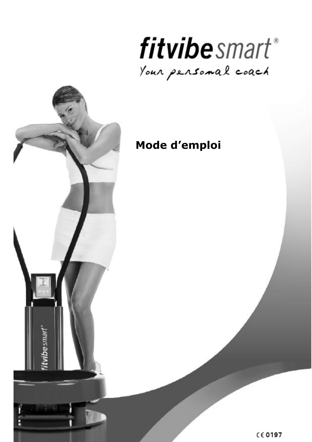

# **Mode d'emploi**

<u>377 - John Stein, Amerikaansk politiker (\* 1852)</u>

esmar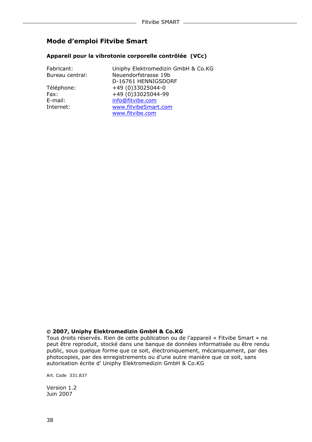#### **Mode d'emploi Fitvibe Smart**

#### **Appareil pour la vibrotonie corporelle contrôlée (VCc)**

Fabricant: Uniphy Elektromedizin GmbH & Co.KG Bureau central: Neuendorfstrasse 19b D-16761 HENNIGSDORF Téléphone: +49 (0)33025044-0 Fax: +49 (0)33025044-99 E-mail: info@fitvibe.com<br>
Internet: www.fitvibe.Smar www.fitvibeSmart.com www.fitvibe.com

#### **2007, Uniphy Elektromedizin GmbH & Co.KG**

Tous droits réservés. Rien de cette publication ou de l'appareil « Fitvibe Smart » ne peut être reproduit, stocké dans une banque de données informatisée ou être rendu public, sous quelque forme que ce soit, électroniquement, mécaniquement, par des photocopies, par des enregistrements ou d'une autre manière que ce soit, sans autorisation écrite d' Uniphy Elektromedizin GmbH & Co.KG

Art. Code 331.837

Version 1.2 Juin 2007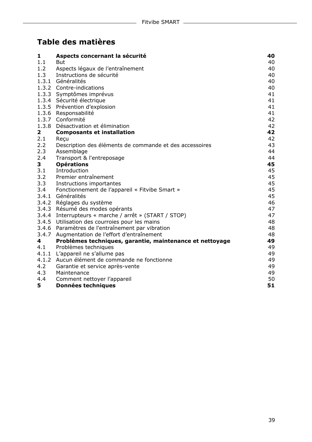## **Table des matières**

| 1                       | Aspects concernant la sécurité                           | 40 |
|-------------------------|----------------------------------------------------------|----|
| 1.1                     | <b>But</b>                                               | 40 |
| 1.2                     | Aspects légaux de l'entraînement                         | 40 |
| 1.3                     | Instructions de sécurité                                 | 40 |
|                         | 1.3.1 Généralités                                        | 40 |
|                         | 1.3.2 Contre-indications                                 | 40 |
|                         | 1.3.3 Symptômes imprévus                                 | 41 |
|                         | 1.3.4 Sécurité électrique                                | 41 |
|                         | 1.3.5 Prévention d'explosion                             | 41 |
|                         | 1.3.6 Responsabilité                                     | 41 |
|                         | 1.3.7 Conformité                                         | 42 |
|                         | 1.3.8 Désactivation et élimination                       | 42 |
| $\overline{\mathbf{2}}$ | <b>Composants et installation</b>                        | 42 |
| 2.1                     | Reçu                                                     | 42 |
| 2.2                     | Description des éléments de commande et des accessoires  | 43 |
| 2.3                     | Assemblage                                               | 44 |
| 2.4                     | Transport & l'entreposage                                | 44 |
| 3                       | <b>Opérations</b>                                        | 45 |
| 3.1                     | Introduction                                             | 45 |
| 3.2                     | Premier entraînement                                     | 45 |
| 3.3                     | Instructions importantes                                 | 45 |
| 3.4                     | Fonctionnement de l'appareil « Fitvibe Smart »           | 45 |
| 3.4.1                   | Généralités                                              | 45 |
|                         | 3.4.2 Réglages du système                                | 46 |
|                         | 3.4.3 Résumé des modes opérants                          | 47 |
| 3.4.4                   | Interrupteurs « marche / arrêt » (START / STOP)          | 47 |
|                         | 3.4.5 Utilisation des courroies pour les mains           | 48 |
| 3.4.6                   | Paramètres de l'entraînement par vibration               | 48 |
| 3.4.7                   | Augmentation de l'effort d'entraînement                  | 48 |
| 4                       | Problèmes techniques, garantie, maintenance et nettoyage | 49 |
| 4.1                     | Problèmes techniques                                     | 49 |
|                         | 4.1.1 L'appareil ne s'allume pas                         | 49 |
|                         | 4.1.2 Aucun élément de commande ne fonctionne            | 49 |
| 4.2                     | Garantie et service après-vente                          | 49 |
| 4.3                     | Maintenance                                              | 49 |
| 4.4                     | Comment nettoyer l'appareil                              | 50 |
| 5                       | <b>Données techniques</b>                                | 51 |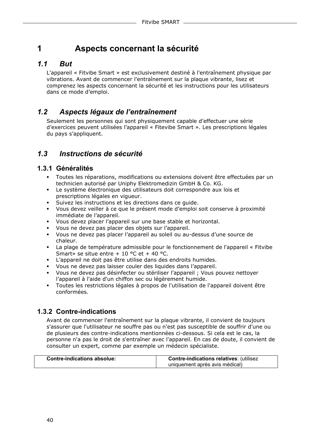## **1 Aspects concernant la sécurité**

## *1.1 But*

L'appareil « Fitvibe Smart » est exclusivement destiné à l'entraînement physique par vibrations. Avant de commencer l'entraînement sur la plaque vibrante, lisez et comprenez les aspects concernant la sécurité et les instructions pour les utilisateurs dans ce mode d'emploi.

## *1.2 Aspects légaux de l'entraînement*

Seulement les personnes qui sont physiquement capable d'effectuer une série d'exercices peuvent utilisées l'appareil « Fitevibe Smart ». Les prescriptions légales du pays s'appliquent.

## *1.3 Instructions de sécurité*

### **1.3.1 Généralités**

- Toutes les réparations, modifications ou extensions doivent être effectuées par un technicien autorisé par Uniphy Elektromedizin GmbH & Co. KG.
- Le système électronique des utilisateurs doit correspondre aux lois et prescriptions légales en vigueur.
- Suivez les instructions et les directions dans ce guide.
- Vous devez veiller à ce que le présent mode d'emploi soit conserve à proximité immédiate de l'appareil.
- Vous devez placer l'appareil sur une base stable et horizontal.
- Vous ne devez pas placer des objets sur l'appareil.
- Vous ne devez pas placer l'appareil au soleil ou au-dessus d'une source de chaleur.
- La plage de température admissible pour le fonctionnement de l'appareil « Fitvibe Smart» se situe entre + 10 °C et + 40 °C.
- L'appareil ne doit pas être utilise dans des endroits humides.
- Vous ne devez pas laisser couler des liquides dans l'appareil.
- Vous ne devez pas désinfecter ou stériliser l'appareil ; Vous pouvez nettoyer l'appareil à l'aide d'un chiffon sec ou légèrement humide.
- Toutes les restrictions légales à propos de l'utilisation de l'appareil doivent être conformées.

## **1.3.2 Contre-indications**

Avant de commencer l'entraînement sur la plaque vibrante, il convient de toujours s'assurer que l'utilisateur ne souffre pas ou n'est pas susceptible de souffrir d'une ou de plusieurs des contre-indications mentionnées ci-dessous. Si cela est le cas, la personne n'a pas le droit de s'entraîner avec l'appareil. En cas de doute, il convient de consulter un expert, comme par exemple un médecin spécialiste.

| <b>Contre-indications absolue:</b> | <b>Contre-indications relatives: (utilisez</b> |
|------------------------------------|------------------------------------------------|
|                                    | uniquement après avis médical)                 |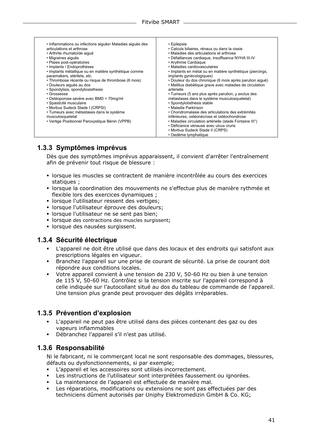| • Arythmie Cardiaque<br>• Maladies cardiovasculaires<br>· Implants en métal ou en matière synthétique (piercings,<br>implants gynécologiques)<br>• Douleur du dos chronique (6 mois après parution aiguë)<br>• Mellitus diabétique grave avec maladies de circulation<br>artérielle<br>• Tumeurs (5 ans plus après parution, y exclus des<br>métastases dans le système musculosqueletal)<br>· Spondylolisthésis stable<br>• Maladie Parkinson<br>• Chondromalasie des articulations des extrémités<br>inférieures, ostéonécrose et ostéochondrose<br>• Maladies circulation artérielle (stade Fontaine III°)<br>• Déficience véneuse avec ulcus cruris<br>• Morbus Sudeck Stade II (CRPS)<br>• Oedème lymphatique |
|--------------------------------------------------------------------------------------------------------------------------------------------------------------------------------------------------------------------------------------------------------------------------------------------------------------------------------------------------------------------------------------------------------------------------------------------------------------------------------------------------------------------------------------------------------------------------------------------------------------------------------------------------------------------------------------------------------------------|
|                                                                                                                                                                                                                                                                                                                                                                                                                                                                                                                                                                                                                                                                                                                    |

## **1.3.3 Symptômes imprévus**

Dès que des symptômes imprévus apparaissent, il convient d'arrêter l'entraînement afin de prévenir tout risque de blessure :

- lorsque les muscles se contractent de manière incontrôlée au cours des exercices statiques ;
- lorsque la coordination des mouvements ne s'effectue plus de manière rythmée et flexible lors des exercices dynamiques ;
- lorsque l'utilisateur ressent des vertiges;
- lorsque l'utilisateur éprouve des douleurs;
- lorsque l'utilisateur ne se sent pas bien;
- **In lorsque des contractions des muscles surgissent;**
- lorsque des nausées surgissent.

#### **1.3.4 Sécurité électrique**

- L'appareil ne doit être utilisé que dans des locaux et des endroits qui satisfont aux prescriptions légales en vigueur.
- Branchez l'appareil sur une prise de courant de sécurité. La prise de courant doit répondre aux conditions locales.
- Votre appareil convient à une tension de 230 V, 50-60 Hz ou bien à une tension de 115 V, 50-60 Hz. Contrôlez si la tension inscrite sur l'appareil correspond à celle indiquée sur l'autocollant situé au dos du tableau de commande de l'appareil. Une tension plus grande peut provoquer des dégâts irréparables.

#### **1.3.5 Prévention d'explosion**

- L'appareil ne peut pas être utilisé dans des pièces contenant des gaz ou des vapeurs inflammables
- Débranchez l'appareil s'il n'est pas utilisé.

#### **1.3.6 Responsabilité**

Ni le fabricant, ni le commerçant local ne sont responsable des dommages, blessures, défauts ou dysfonctionnements, si par exemple;

- L'appareil et les accessoires sont utilisés incorrectement.
- Les instructions de l'utilisateur sont interprétées faussement ou ignorées.
- La maintenance de l'appareil est effectuée de manière mal.
- Les réparations, modifications ou extensions ne sont pas effectuées par des techniciens dûment autorisés par Uniphy Elektromedizin GmbH & Co. KG;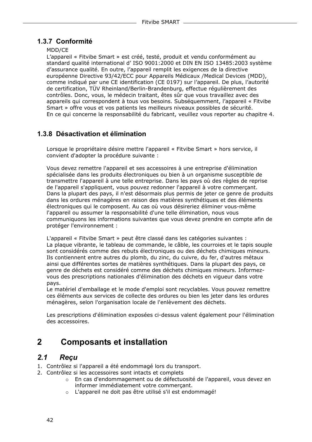## **1.3.7 Conformité**

MDD/CE

L'appareil « Fitvibe Smart » est créé, testé, produit et vendu conformément au standard qualité international d' ISO 9001:2000 et DIN EN ISO 13485:2003 système d'assurance qualité. En outre, l'appareil remplit les exigences de la directive européenne Directive 93/42/ECC pour Appareils Médicaux /Medical Devices (MDD), comme indiqué par une CE identification (CE 0197) sur l'appareil. De plus, l'autorité de certification, TÜV Rheinland/Berlin-Brandenburg, effectue régulièrement des contrôles. Donc, vous, le médecin traitant, êtes sûr que vous travaillez avec des appareils qui correspondent à tous vos besoins. Subséquemment, l'appareil « Fitvibe Smart » offre vous et vos patients les meilleurs niveaux possibles de sécurité. En ce qui concerne la responsabilité du fabricant, veuillez vous reporter au chapitre 4.

## **1.3.8 Désactivation et élimination**

Lorsque le propriétaire désire mettre l'appareil « Fitvibe Smart » hors service, il convient d'adopter la procédure suivante :

Vous devez remettre l'appareil et ses accessoires à une entreprise d'élimination spécialisée dans les produits électroniques ou bien à un organisme susceptible de transmettre l'appareil à une telle entreprise. Dans les pays où des règles de reprise de l'appareil s'appliquent, vous pouvez redonner l'appareil à votre commerçant. Dans la plupart des pays, il n'est désormais plus permis de jeter ce genre de produits dans les ordures ménagères en raison des matières synthétiques et des éléments électroniques qui le composent. Au cas où vous désireriez éliminer vous-même l'appareil ou assumer la responsabilité d'une telle élimination, nous vous communiquons les informations suivantes que vous devez prendre en compte afin de protéger l'environnement :

L'appareil « Fitvibe Smart » peut être classé dans les catégories suivantes : La plaque vibrante, le tableau de commande, le câble, les courroies et le tapis souple sont considérés comme des rebuts électroniques ou des déchets chimiques mineurs. Ils contiennent entre autres du plomb, du zinc, du cuivre, du fer, d'autres métaux ainsi que différentes sortes de matières synthétiques. Dans la plupart des pays, ce genre de déchets est considéré comme des déchets chimiques mineurs. Informezvous des prescriptions nationales d'élimination des déchets en vigueur dans votre pays.

Le matériel d'emballage et le mode d'emploi sont recyclables. Vous pouvez remettre ces éléments aux services de collecte des ordures ou bien les jeter dans les ordures ménagères, selon l'organisation locale de l'enlèvement des déchets.

Les prescriptions d'élimination exposées ci-dessus valent également pour l'élimination des accessoires.

## **2 Composants et installation**

#### *2.1 Reçu*

- 1. Contrôlez si l'appareil a été endommagé lors du transport.
- 2. Contrôlez si les accessoires sont intacts et complets
	- o En cas d'endommagement ou de défectuosité de l'appareil, vous devez en informer immédiatement votre commerçant.
	- o L'appareil ne doit pas être utilisé s'il est endommagé!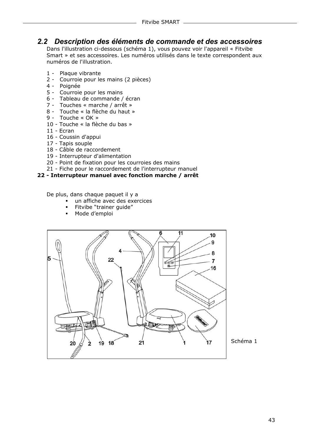## *2.2 Description des éléments de commande et des accessoires*

Dans l'illustration ci-dessous (schéma 1), vous pouvez voir l'appareil « Fitvibe Smart » et ses accessoires. Les numéros utilisés dans le texte correspondent aux numéros de l'illustration.

- 1 Plaque vibrante
- 2 Courroie pour les mains (2 pièces)
- 4 Poignée
- 5 Courroie pour les mains
- 6 Tableau de commande / écran
- 7 Touches « marche / arrêt »
- 8 Touche « la flèche du haut »
- 9 Touche « OK »
- 10 Touche « la flèche du bas »
- 11 Ecran
- 16 Coussin d'appui
- 17 Tapis souple
- 18 Câble de raccordement
- 19 Interrupteur d'alimentation
- 20 Point de fixation pour les courroies des mains
- 21 Fiche pour le raccordement de l'interrupteur manuel

#### **22 - Interrupteur manuel avec fonction marche / arrêt**

De plus, dans chaque paquet il y a

- un affiche avec des exercices
- Fitvibe "trainer guide"
- Mode d'emploi



Schéma 1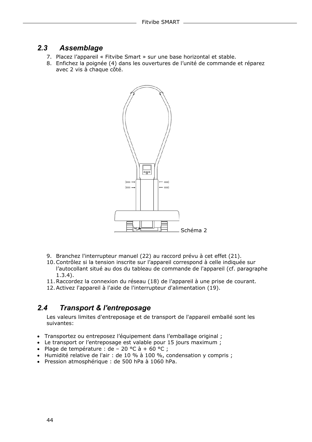## *2.3 Assemblage*

- 7. Placez l'appareil « Fitvibe Smart » sur une base horizontal et stable.
- 8. Enfichez la poignée (4) dans les ouvertures de l'unité de commande et réparez avec 2 vis à chaque côté.



- 9. Branchez l'interrupteur manuel (22) au raccord prévu à cet effet (21).
- 10.Contrôlez si la tension inscrite sur l'appareil correspond à celle indiquée sur l'autocollant situé au dos du tableau de commande de l'appareil (cf. paragraphe 1.3.4).
- 11.Raccordez la connexion du réseau (18) de l'appareil à une prise de courant.
- 12.Activez l'appareil à l'aide de l'interrupteur d'alimentation (19).

## *2.4 Transport & l'entreposage*

Les valeurs limites d'entreposage et de transport de l'appareil emballé sont les suivantes:

- Transportez ou entreposez l'équipement dans l'emballage original ;
- Le transport or l'entreposage est valable pour 15 jours maximum ;
- Plage de température : de 20 °C à + 60 °C ;
- Humidité relative de l'air : de 10 % à 100 %, condensation y compris ;
- Pression atmosphérique : de 500 hPa à 1060 hPa.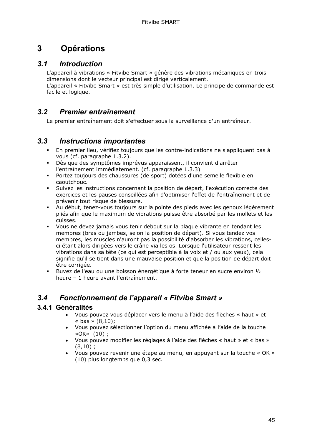## **3 Opérations**

## *3.1 Introduction*

L'appareil à vibrations « Fitvibe Smart » génère des vibrations mécaniques en trois dimensions dont le vecteur principal est dirigé verticalement.

L'appareil « Fitvibe Smart » est très simple d'utilisation. Le principe de commande est facile et logique.

## *3.2 Premier entraînement*

Le premier entraînement doit s'effectuer sous la surveillance d'un entraîneur.

## *3.3 Instructions importantes*

- En premier lieu, vérifiez toujours que les contre-indications ne s'appliquent pas à vous (cf. paragraphe 1.3.2).
- Dès que des symptômes imprévus apparaissent, il convient d'arrêter l'entraînement immédiatement. (cf. paragraphe 1.3.3)
- Portez toujours des chaussures (de sport) dotées d'une semelle flexible en caoutchouc.
- Suivez les instructions concernant la position de départ, l'exécution correcte des exercices et les pauses conseillées afin d'optimiser l'effet de l'entraînement et de prévenir tout risque de blessure.
- Au début, tenez-vous toujours sur la pointe des pieds avec les genoux légèrement pliés afin que le maximum de vibrations puisse être absorbé par les mollets et les cuisses.
- Vous ne devez jamais vous tenir debout sur la plaque vibrante en tendant les membres (bras ou jambes, selon la position de départ). Si vous tendez vos membres, les muscles n'auront pas la possibilité d'absorber les vibrations, cellesci étant alors dirigées vers le crâne via les os. Lorsque l'utilisateur ressent les vibrations dans sa tête (ce qui est perceptible à la voix et / ou aux yeux), cela signifie qu'il se tient dans une mauvaise position et que la position de départ doit être corrigée.
- Buvez de l'eau ou une boisson énergétique à forte teneur en sucre environ 1/2 heure – 1 heure avant l'entraînement.

## *3.4 Fonctionnement de l'appareil « Fitvibe Smart »*

## **3.4.1 Généralités**

- Vous pouvez vous déplacer vers le menu à l'aide des flèches « haut » et « bas »  $(8, 10)$ ;
- Vous pouvez sélectionner l'option du menu affichée à l'aide de la touche «OK» (10) ;
- Vous pouvez modifier les réglages à l'aide des flèches « haut » et « bas »  $(8,10)$  ;
- Vous pouvez revenir une étape au menu, en appuyant sur la touche « OK » (10) plus longtemps que 0,3 sec.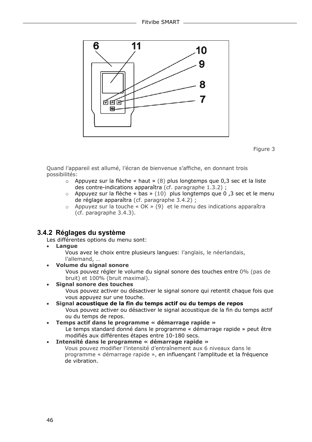

Figure 3

Quand l'appareil est allumé, l'écran de bienvenue s'affiche, en donnant trois possibilités:

- $\circ$  Appuyez sur la flèche « haut » (8) plus longtemps que 0,3 sec et la liste des contre-indications apparaîtra (cf. paragraphe 1.3.2) ;
- $\circ$  Appuyez sur la flèche « bas » (10) plus longtemps que 0,3 sec et le menu de réglage apparaîtra (cf. paragraphe 3.4.2) ;
- o Appuyez sur la touche « OK » (9) et le menu des indications apparaîtra (cf. paragraphe 3.4.3).

#### **3.4.2 Réglages du système**

Les différentes options du menu sont:

• **Langue** 

Vous avez le choix entre plusieurs langues: l'anglais, le néerlandais, l'allemand, …

• **Volume du signal sonore** 

Vous pouvez régler le volume du signal sonore des touches entre 0% (pas de bruit) et 100% (bruit maximal).

• **Signal sonore des touches**

Vous pouvez activer ou désactiver le signal sonore qui retentit chaque fois que vous appuyez sur une touche.

- **Signal acoustique de la fin du temps actif ou du temps de repos** Vous pouvez activer ou désactiver le signal acoustique de la fin du temps actif ou du temps de repos.
- **Temps actif dans le programme « démarrage rapide »** Le temps standard donné dans le programme « démarrage rapide » peut être modifiés aux différentes étapes entre 10-180 secs.
- **Intensité dans le programme « démarrage rapide »**

Vous pouvez modifier l'intensité d'entraînement aux 6 niveaux dans le programme « démarrage rapide », en influençant l'amplitude et la fréquence de vibration.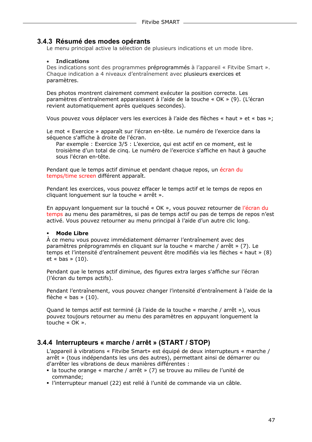#### **3.4.3 Résumé des modes opérants**

Le menu principal active la sélection de plusieurs indications et un mode libre.

#### • **Indications**

Des indications sont des programmes préprogrammés à l'appareil « Fitvibe Smart ». Chaque indication a 4 niveaux d'entraînement avec plusieurs exercices et paramètres.

Des photos montrent clairement comment exécuter la position correcte. Les paramètres d'entraînement apparaissent à l'aide de la touche « OK » (9). (L'écran revient automatiquement après quelques secondes).

Vous pouvez vous déplacer vers les exercices à l'aide des flèches « haut » et « bas »;

Le mot « Exercice » apparaît sur l'écran en-tête. Le numéro de l'exercice dans la séquence s'affiche à droite de l'écran.

Par exemple : Exercice 3/5 : L'exercice, qui est actif en ce moment, est le troisième d'un total de cinq. Le numéro de l'exercice s'affiche en haut à gauche sous l'écran en-tête.

Pendant que le temps actif diminue et pendant chaque repos, un écran du temps/time screen différent apparaît.

Pendant les exercices, vous pouvez effacer le temps actif et le temps de repos en cliquant longuement sur la touche « arrêt ».

En appuyant longuement sur la touché « OK », vous pouvez retourner de l'écran du temps au menu des paramètres, si pas de temps actif ou pas de temps de repos n'est activé. Vous pouvez retourner au menu principal à l'aide d'un autre clic long.

#### **Mode Libre**

À ce menu vous pouvez immédiatement démarrer l'entraînement avec des paramètres préprogrammés en cliquant sur la touche « marche / arrêt » (7). Le temps et l'intensité d'entraînement peuvent être modifiés via les flèches « haut » (8) et « bas »  $(10)$ .

Pendant que le temps actif diminue, des figures extra larges s'affiche sur l'écran (l'écran du temps actifs).

Pendant l'entraînement, vous pouvez changer l'intensité d'entraînement à l'aide de la flèche « bas » (10).

Quand le temps actif est terminé (à l'aide de la touche « marche / arrêt »), vous pouvez toujours retourner au menu des paramètres en appuyant longuement la touche « OK ».

#### **3.4.4 Interrupteurs « marche / arrêt » (START / STOP)**

L'appareil à vibrations « Fitvibe Smart» est équipé de deux interrupteurs « marche / arrêt » (tous indépendants les uns des autres), permettant ainsi de démarrer ou d'arrêter les vibrations de deux manières différentes :

- la touche orange « marche / arrêt » (7) se trouve au milieu de l'unité de commande;
- l'interrupteur manuel (22) est relié à l'unité de commande via un câble.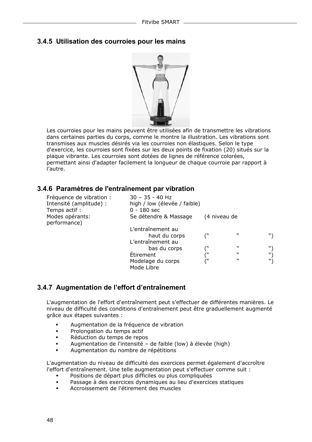### **3.4.5 Utilisation des courroies pour les mains**



Les courroies pour les mains peuvent être utilisées afin de transmettre les vibrations dans certaines parties du corps, comme le montre la illustration. Les vibrations sont transmises aux muscles désirés via les courroies non élastiques. Selon le type d'exercice, les courroies sont fixées sur les deux points de fixation (20) situés sur la plaque vibrante. Les courroies sont dotées de lignes de référence colorées, permettant ainsi d'adapter facilement la longueur de chaque courroie par rapport à l'autre.

#### **3.4.6 Paramètres de l'entraînement par vibration**

| Fréquence de vibration :<br>Intensité (amplitude) :<br>Temps actif : | $30 - 35 - 40$ Hz<br>high / low (élevée / faible)<br>0 - 180 sec |              |   |     |
|----------------------------------------------------------------------|------------------------------------------------------------------|--------------|---|-----|
| Modes opérants:<br>performance)                                      | Se détendre & Massage                                            | (4 niveau de |   |     |
|                                                                      | L'entraînement au                                                |              |   |     |
|                                                                      | haut du corps                                                    |              | w | "   |
|                                                                      | L'entraînement au                                                |              |   |     |
|                                                                      | bas du corps                                                     |              | w | n 1 |
|                                                                      | Etirement                                                        |              | w | "   |
|                                                                      | Modelage du corps                                                | / \\         | w | u I |
|                                                                      | Mode Libre                                                       |              |   |     |

#### **3.4.7 Augmentation de l'effort d'entraînement**

L'augmentation de l'effort d'entraînement peut s'effectuer de différentes manières. Le niveau de difficulté des conditions d'entraînement peut être graduellement augmenté grâce aux étapes suivantes :

- Augmentation de la fréquence de vibration
- **Prolongation du temps actif**
- Réduction du temps de repos
- Augmentation de l'intensité de faible (low) à élevée (high)
- Augmentation du nombre de répétitions

L'augmentation du niveau de difficulté des exercices permet également d'accroître l'effort d'entraînement. Une telle augmentation peut s'effectuer comme suit :

- Positions de départ plus difficiles ou plus compliquées
- Passage à des exercices dynamiques au lieu d'exercices statiques
- Accroissement de l'étirement des muscles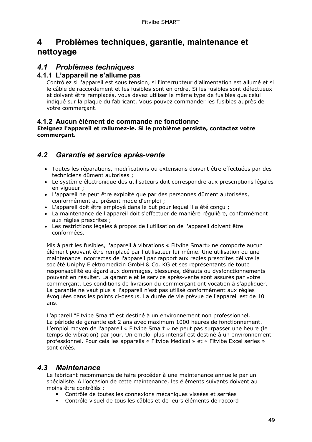## **4 Problèmes techniques, garantie, maintenance et nettoyage**

## *4.1 Problèmes techniques*

#### **4.1.1 L'appareil ne s'allume pas**

Contrôlez si l'appareil est sous tension, si l'interrupteur d'alimentation est allumé et si le câble de raccordement et les fusibles sont en ordre. Si les fusibles sont défectueux et doivent être remplacés, vous devez utiliser le même type de fusibles que celui indiqué sur la plaque du fabricant. Vous pouvez commander les fusibles auprès de votre commerçant.

#### **4.1.2 Aucun élément de commande ne fonctionne**

#### **Eteignez l'appareil et rallumez-le. Si le problème persiste, contactez votre commerçant.**

## *4.2 Garantie et service après-vente*

- Toutes les réparations, modifications ou extensions doivent être effectuées par des techniciens dûment autorisés ;
- Le système électronique des utilisateurs doit correspondre aux prescriptions légales en vigueur ;
- L'appareil ne peut être exploité que par des personnes dûment autorisées, conformément au présent mode d'emploi ;
- L'appareil doit être employé dans le but pour lequel il a été conçu ;
- La maintenance de l'appareil doit s'effectuer de manière régulière, conformément aux règles prescrites ;
- Les restrictions légales à propos de l'utilisation de l'appareil doivent être conformées.

Mis à part les fusibles, l'appareil à vibrations « Fitvibe Smart» ne comporte aucun élément pouvant être remplacé par l'utilisateur lui-même. Une utilisation ou une maintenance incorrectes de l'appareil par rapport aux règles prescrites délivre la société Uniphy Elektromedizin GmbH & Co. KG et ses représentants de toute responsabilité eu égard aux dommages, blessures, défauts ou dysfonctionnements pouvant en résulter. La garantie et le service après-vente sont assurés par votre commerçant. Les conditions de livraison du commerçant ont vocation à s'appliquer. La garantie ne vaut plus si l'appareil n'est pas utilisé conformément aux règles évoquées dans les points ci-dessus. La durée de vie prévue de l'appareil est de 10 ans.

L'appareil "Fitvibe Smart" est destiné à un environnement non professionnel. La période de garantie est 2 ans avec maximum 1000 heures de fonctionnement. L'emploi moyen de l'appareil « Fitvibe Smart » ne peut pas surpasser une heure (le temps de vibration) par jour. Un emploi plus intensif est destiné à un environnement professionnel. Pour cela les appareils « Fitvibe Medical » et « Fitvibe Excel series » sont créés.

## *4.3 Maintenance*

Le fabricant recommande de faire procéder à une maintenance annuelle par un spécialiste. A l'occasion de cette maintenance, les éléments suivants doivent au moins être contrôlés :

- Contrôle de toutes les connexions mécaniques vissées et serrées
- Contrôle visuel de tous les câbles et de leurs éléments de raccord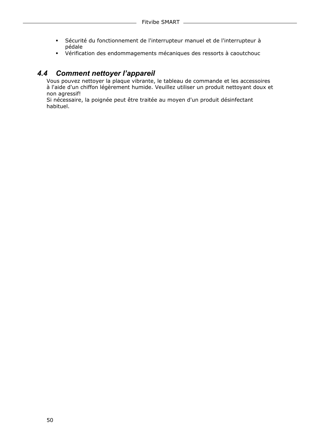- Sécurité du fonctionnement de l'interrupteur manuel et de l'interrupteur à pédale
- Vérification des endommagements mécaniques des ressorts à caoutchouc

## *4.4 Comment nettoyer l'appareil*

Vous pouvez nettoyer la plaque vibrante, le tableau de commande et les accessoires à l'aide d'un chiffon légèrement humide. Veuillez utiliser un produit nettoyant doux et non agressif!

Si nécessaire, la poignée peut être traitée au moyen d'un produit désinfectant habituel.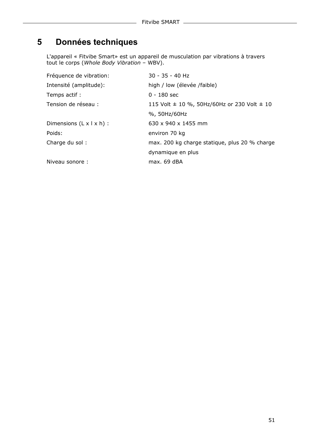## **5 Données techniques**

L'appareil « Fitvibe Smart» est un appareil de musculation par vibrations à travers tout le corps (*Whole Body Vibration* – WBV).

| Fréquence de vibration:              | $30 - 35 - 40$ Hz                                   |
|--------------------------------------|-----------------------------------------------------|
| Intensité (amplitude):               | high / low (élevée /faible)                         |
| Temps actif :                        | $0 - 180$ sec                                       |
| Tension de réseau :                  | 115 Volt $\pm$ 10 %, 50Hz/60Hz or 230 Volt $\pm$ 10 |
|                                      | %, 50Hz/60Hz                                        |
| Dimensions $(L \times L \times h)$ : | 630 x 940 x 1455 mm                                 |
| Poids:                               | environ 70 kg                                       |
| Charge du sol :                      | max. 200 kg charge statique, plus 20 % charge       |
|                                      | dynamique en plus                                   |
| Niveau sonore:                       | $max. 69$ dBA                                       |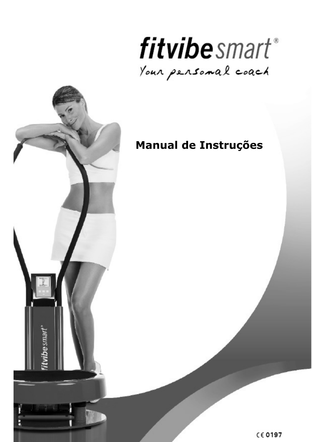fitvibe smart<sup>®</sup> Your personal coach

# **Manual de Instruções**

the contract of the contract of the contract of the contract of the contract of the contract of the contract of

esmai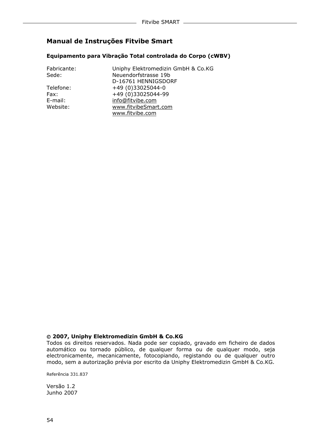### **Manual de Instruções Fitvibe Smart**

#### **Equipamento para Vibração Total controlada do Corpo (cWBV)**

| Fabricante: | Uniphy Elektromedizin GmbH & Co.KG |
|-------------|------------------------------------|
| Sede:       | Neuendorfstrasse 19b               |
|             | D-16761 HENNIGSDORF                |
| Telefone:   | +49 (0)33025044-0                  |
| Fax:        | +49 (0)33025044-99                 |
| E-mail:     | info@fitvibe.com                   |
| Website:    | www.fitvibeSmart.com               |
|             | www.fitvibe.com                    |

#### **2007, Uniphy Elektromedizin GmbH & Co.KG**

Todos os direitos reservados. Nada pode ser copiado, gravado em ficheiro de dados automático ou tornado público, de qualquer forma ou de qualquer modo, seja electronicamente, mecanicamente, fotocopiando, registando ou de qualquer outro modo, sem a autorização prévia por escrito da Uniphy Elektromedizin GmbH & Co.KG.

Referência 331.837

Versão 1.2 Junho 2007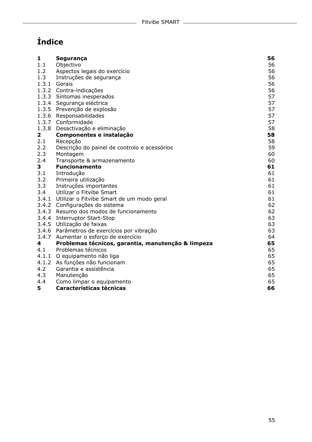# **Índice**

| 1     | Segurança                                          | 56 |
|-------|----------------------------------------------------|----|
| 1.1   | Objectivo                                          | 56 |
| 1.2   | Aspectos legais do exercício                       | 56 |
| 1.3   | Instruções de segurança                            | 56 |
| 1.3.1 | Gerais                                             | 56 |
| 1.3.2 | Contra-indicações                                  | 56 |
|       | 1.3.3 Sintomas inesperados                         | 57 |
|       | 1.3.4 Segurança eléctrica                          | 57 |
|       | 1.3.5 Prevenção de explosão                        | 57 |
|       | 1.3.6 Responsabilidades                            | 57 |
|       | 1.3.7 Conformidade                                 | 57 |
|       | 1.3.8 Desactivação e eliminação                    | 58 |
| 2     | Componentes e instalação                           | 58 |
| 2.1   | Recepção                                           | 58 |
| 2.2   | Descrição do painel de controlo e acessórios       | 59 |
| 2.3   | Montagem                                           | 60 |
| 2.4   | Transporte & armazenamento                         | 60 |
| 3     | <b>Funcionamento</b>                               | 61 |
| 3.1   | Introdução                                         | 61 |
| 3.2   | Primeira utilização                                | 61 |
| 3.3   | Instruções importantes                             | 61 |
| 3.4   | Utilizar o Fitvibe Smart                           | 61 |
| 3.4.1 | Utilizar o Fitvibe Smart de um modo geral          | 61 |
|       | 3.4.2 Configurações do sistema                     | 62 |
|       | 3.4.3 Resumo dos modos de funcionamento            | 62 |
|       | 3.4.4 Interruptor Start-Stop                       | 63 |
|       | 3.4.5 Utilização de faixas                         | 63 |
|       | 3.4.6 Parâmetros de exercícios por vibração        | 63 |
|       | 3.4.7 Aumentar o esforço de exercício              | 64 |
| 4     | Problemas técnicos, garantia, manutenção & limpeza | 65 |
| 4.1   | Problemas técnicos                                 | 65 |
|       | 4.1.1 O equipamento não liga                       | 65 |
| 4.1.2 | As funções não funcionam                           | 65 |
| 4.2   | Garantia e assistência                             | 65 |
| 4.3   | Manutenção                                         | 65 |
| 4.4   | Como limpar o equipamento                          | 65 |
| 5     | <b>Características técnicas</b>                    | 66 |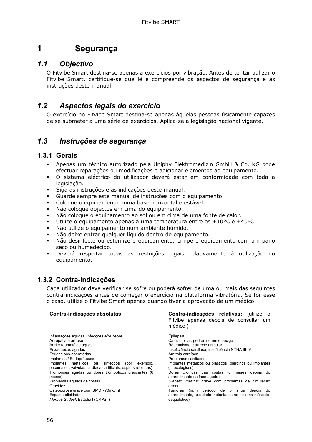## **1 Segurança**

### *1.1 Objectivo*

O Fitvibe Smart destina-se apenas a exercícios por vibração. Antes de tentar utilizar o Fitvibe Smart, certifique-se que lê e compreende os aspectos de segurança e as instruções deste manual.

## *1.2 Aspectos legais do exercício*

O exercício no Fitvibe Smart destina-se apenas àquelas pessoas fisicamente capazes de se submeter a uma série de exercícios. Aplica-se a legislação nacional vigente.

## *1.3 Instruções de segurança*

#### **1.3.1 Gerais**

- Apenas um técnico autorizado pela Uniphy Elektromedizin GmbH & Co. KG pode efectuar reparações ou modificações e adicionar elementos ao equipamento.
- O sistema eléctrico do utilizador deverá estar em conformidade com toda a legislação.
- Siga as instruções e as indicações deste manual.
- Guarde sempre este manual de instruções com o equipamento.
- Coloque o equipamento numa base horizontal e estável.
- Não coloque objectos em cima do equipamento.
- Não coloque o equipamento ao sol ou em cima de uma fonte de calor.
- Utilize o equipamento apenas a uma temperatura entre os  $+10^{\circ}$ C e  $+40^{\circ}$ C.
- Não utilize o equipamento num ambiente húmido.
- Não deixe entrar qualquer líquido dentro do equipamento.
- Não desinfecte ou esterilize o equipamento; Limpe o equipamento com um pano seco ou humedecido.
- Deverá respeitar todas as restrições legais relativamente à utilização do equipamento.

#### **1.3.2 Contra-indicações**

Cada utilizador deve verificar se sofre ou poderá sofrer de uma ou mais das seguintes contra-indicações antes de começar o exercício na plataforma vibratória. Se for esse o caso, utilize o Fitvibe Smart apenas quando tiver a aprovação de um médico.

| Contra-indicações absolutas:                                 | Contra-indicações relativas: (utilize<br>O<br>Fitvibe apenas depois de consultar um<br>médico.) |
|--------------------------------------------------------------|-------------------------------------------------------------------------------------------------|
| Inflamações agudas, infecções e/ou febre                     | Epilepsia                                                                                       |
| Artropatia e artrose                                         | Cálculo biliar, pedras no rim e bexiga                                                          |
| Artrite reumatóide aguda                                     | Reumatismo e artrose articular                                                                  |
| Enxaguecas agudas                                            | Insuficiência cardíaca, insuficiência NYHA III-IV                                               |
| Feridas pós-operatórias                                      | Arritmia cardíaca                                                                               |
| Implantes / Endopróteses                                     | Problemas cardíacos                                                                             |
| Implantes metálicos ou sintéticos                            | Implantes metálicos ou plásticos (piercings ou implantes                                        |
| exemplo,                                                     | qinecológicos)                                                                                  |
| (por                                                         | Dores crónicas das costas (6 meses depois do                                                    |
| pacemaker, válvulas cardíacas artificiais, espiras recentes) | aparecimento da fase aguda)                                                                     |
| Tromboses agudas ou dores trombóticos crescentes (6          | Diabetic mellitus grave com problemas de circulação                                             |
| meses)                                                       | arterial                                                                                        |
| Problemas agudos de costas                                   | (num período de 5 anos                                                                          |
| Gravidez                                                     | Tumores                                                                                         |
| Osteoporose grave com BMD <70mg/ml                           | depois                                                                                          |
| Espasmodicidade                                              | aparecimento, excluindo metástases no sistema músculo-                                          |
| Morbus Sudeck Estádio I (CRPS I)                             | esquelético)                                                                                    |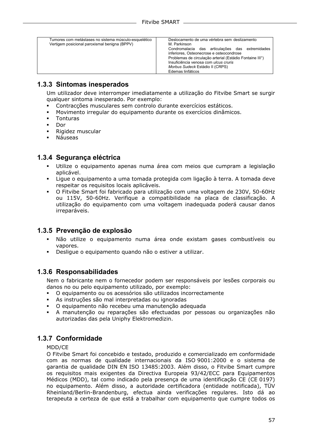| Tumores com metástases no sistema músculo-esquelético<br>Vertigem posicional paroxismal benigna (BPPV) | Deslocamento de uma vértebra sem deslizamento<br>M. Parkinson<br>Condromalacia das articulações das extremidades<br>inferiores, Osteonecrose e osteocondrose<br>Problemas de circulação arterial (Estádio Fontaine III <sup>o</sup> )<br>Insuficiência venosa com ulcus cruris<br>Morbus Sudeck Estádio II (CRPS)<br>Edemas linfáticos |
|--------------------------------------------------------------------------------------------------------|----------------------------------------------------------------------------------------------------------------------------------------------------------------------------------------------------------------------------------------------------------------------------------------------------------------------------------------|
|--------------------------------------------------------------------------------------------------------|----------------------------------------------------------------------------------------------------------------------------------------------------------------------------------------------------------------------------------------------------------------------------------------------------------------------------------------|

#### **1.3.3 Sintomas inesperados**

Um utilizador deve interromper imediatamente a utilização do Fitvibe Smart se surgir qualquer sintoma inesperado. Por exemplo:

- Contracções musculares sem controlo durante exercícios estáticos.
- Movimento irregular do equipamento durante os exercícios dinâmicos.
- Tonturas
- **Dor**
- Rigidez muscular
- Náuseas

#### **1.3.4 Segurança eléctrica**

- Utilize o equipamento apenas numa área com meios que cumpram a legislação aplicável.
- Ligue o equipamento a uma tomada protegida com ligação à terra. A tomada deve respeitar os requisitos locais aplicáveis.
- O Fitvibe Smart foi fabricado para utilização com uma voltagem de 230V, 50-60Hz ou 115V, 50-60Hz. Verifique a compatibilidade na placa de classificação. A utilização do equipamento com uma voltagem inadequada poderá causar danos irreparáveis.

#### **1.3.5 Prevenção de explosão**

- Não utilize o equipamento numa área onde existam gases combustíveis ou vapores.
- Desligue o equipamento quando não o estiver a utilizar.

#### **1.3.6 Responsabilidades**

Nem o fabricante nem o fornecedor podem ser responsáveis por lesões corporais ou danos no ou pelo equipamento utilizado, por exemplo:

- O equipamento ou os acessórios são utilizados incorrectamente
- As instruções são mal interpretadas ou ignoradas
- O equipamento não recebeu uma manutenção adequada
- A manutenção ou reparações são efectuadas por pessoas ou organizações não autorizadas das pela Uniphy Elektromedizin.

#### **1.3.7 Conformidade**

#### MDD/CE

O Fitvibe Smart foi concebido e testado, produzido e comercializado em conformidade com as normas de qualidade internacionais da ISO 9001:2000 e o sistema de garantia de qualidade DIN EN ISO 13485:2003. Além disso, o Fitvibe Smart cumpre os requisitos mais exigentes da Directiva Europeia 93/42/ECC para Equipamentos Médicos (MDD), tal como indicado pela presença de uma identificação CE (CE 0197) no equipamento. Além disso, a autoridade certificadora (entidade notificada), TÜV Rheinland/Berlin-Brandenburg, efectua ainda verificações regulares. Isto dá ao terapeuta a certeza de que está a trabalhar com equipamento que cumpre todos os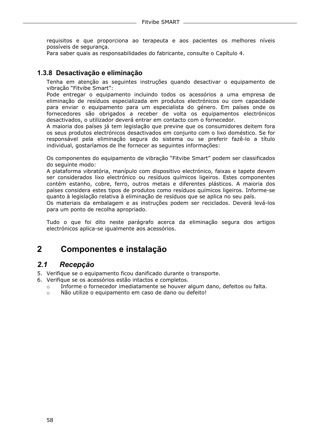requisitos e que proporciona ao terapeuta e aos pacientes os melhores níveis possíveis de segurança.

Para saber quais as responsabilidades do fabricante, consulte o Capítulo 4.

### **1.3.8 Desactivação e eliminação**

Tenha em atenção as seguintes instruções quando desactivar o equipamento de vibração "Fitvibe Smart":

Pode entregar o equipamento incluindo todos os acessórios a uma empresa de eliminação de resíduos especializada em produtos electrónicos ou com capacidade para enviar o equipamento para um especialista do género. Em países onde os fornecedores são obrigados a receber de volta os equipamentos electrónicos desactivados, o utilizador deverá entrar em contacto com o fornecedor.

A maioria dos países já tem legislação que previne que os consumidores deitem fora os seus produtos electrónicos desactivados em conjunto com o lixo doméstico. Se for responsável pela eliminação segura do sistema ou se preferir fazê-lo a título individual, gostaríamos de lhe fornecer as seguintes informações:

Os componentes do equipamento de vibração "Fitvibe Smart" podem ser classificados do seguinte modo:

A plataforma vibratória, manípulo com dispositivo electrónico, faixas e tapete devem ser considerados lixo electrónico ou resíduos químicos ligeiros. Estes componentes contém estanho, cobre, ferro, outros metais e diferentes plásticos. A maioria dos países considera estes tipos de produtos como resíduos químicos ligeiros. Informe-se quanto à legislação relativa à eliminação de resíduos que se aplica no seu país.

Os materiais da embalagem e as instruções podem ser reciclados. Deverá levá-los para um ponto de recolha apropriado.

Tudo o que foi dito neste parágrafo acerca da eliminação segura dos artigos electrónicos aplica-se igualmente aos acessórios.

## **2 Componentes e instalação**

## *2.1 Recepção*

- 5. Verifique se o equipamento ficou danificado durante o transporte.
- 6. Verifique se os acessórios estão intactos e completos.
	- o Informe o fornecedor imediatamente se houver algum dano, defeitos ou falta.
	- o Não utilize o equipamento em caso de dano ou defeito!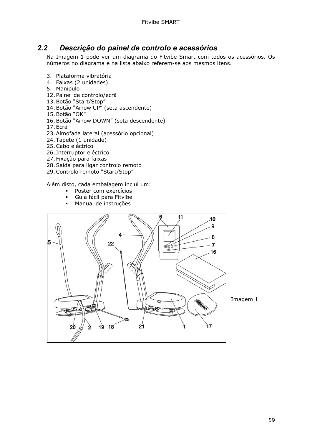## *2.2 Descrição do painel de controlo e acessórios*

Na Imagem 1 pode ver um diagrama do Fitvibe Smart com todos os acessórios. Os números no diagrama e na lista abaixo referem-se aos mesmos itens.

- 3. Plataforma vibratória
- 4. Faixas (2 unidades)
- 5. Manípulo
- 12. Painel de controlo/ecrã
- 13.Botão "Start/Stop"
- 14.Botão "Arrow UP" (seta ascendente)
- 15.Botão "OK"
- 16.Botão "Arrow DOWN" (seta descendente)
- 17. Ecrã
- 23.Almofada lateral (acessório opcional)
- 24. Tapete (1 unidade)
- 25.Cabo eléctrico
- 26. Interruptor eléctrico
- 27. Fixação para faixas
- 28.Saída para ligar controlo remoto
- 29.Controlo remoto "Start/Stop"

Além disto, cada embalagem inclui um:

- Poster com exercícios
- Guia fácil para Fitvibe
- Manual de instruções

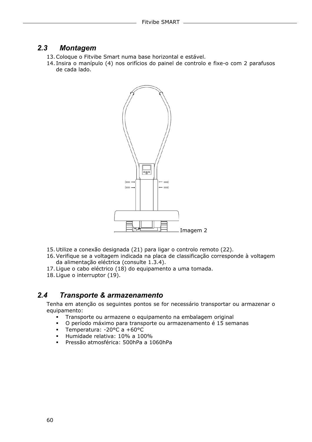### *2.3 Montagem*

- 13.Coloque o Fitvibe Smart numa base horizontal e estável.
- 14. Insira o manípulo (4) nos orifícios do painel de controlo e fixe-o com 2 parafusos de cada lado.



- 15. Utilize a conexão designada (21) para ligar o controlo remoto (22).
- 16.Verifique se a voltagem indicada na placa de classificação corresponde à voltagem da alimentação eléctrica (consulte 1.3.4).
- 17. Ligue o cabo eléctrico (18) do equipamento a uma tomada.
- 18. Ligue o interruptor (19).

## *2.4 Transporte & armazenamento*

Tenha em atenção os seguintes pontos se for necessário transportar ou armazenar o equipamento:

- **Transporte ou armazene o equipamento na embalagem original**
- O período máximo para transporte ou armazenamento é 15 semanas
- Temperatura: -20°C a +60°C
- Humidade relativa: 10% a 100%
- Pressão atmosférica: 500hPa a 1060hPa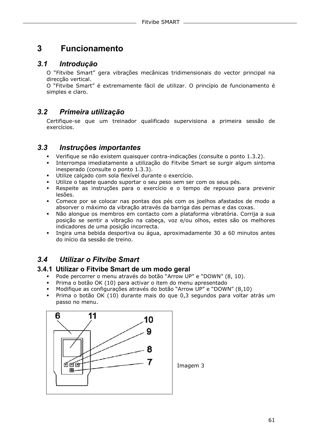## **3 Funcionamento**

## *3.1 Introdução*

O "Fitvibe Smart" gera vibrações mecânicas tridimensionais do vector principal na direcção vertical.

O "Fitvibe Smart" é extremamente fácil de utilizar. O princípio de funcionamento é simples e claro.

## *3.2 Primeira utilização*

Certifique-se que um treinador qualificado supervisiona a primeira sessão de exercícios.

## *3.3 Instruções importantes*

- Verifique se não existem quaisquer contra-indicações (consulte o ponto 1.3.2).
- Interrompa imediatamente a utilização do Fitvibe Smart se surgir algum sintoma inesperado (consulte o ponto 1.3.3).
- Utilize calçado com sola flexível durante o exercício.
- Utilize o tapete quando suportar o seu peso sem ser com os seus pés.
- Respeite as instruções para o exercício e o tempo de repouso para prevenir lesões.
- Comece por se colocar nas pontas dos pés com os joelhos afastados de modo a absorver o máximo da vibração através da barriga das pernas e das coxas.
- Não alongue os membros em contacto com a plataforma vibratória. Corrija a sua posição se sentir a vibração na cabeça, voz e/ou olhos, estes são os melhores indicadores de uma posição incorrecta.
- Ingira uma bebida desportiva ou água, aproximadamente 30 a 60 minutos antes do início da sessão de treino.

## *3.4 Utilizar o Fitvibe Smart*

#### **3.4.1 Utilizar o Fitvibe Smart de um modo geral**

- Pode percorrer o menu através do botão "Arrow UP" e "DOWN" (8, 10).<br>• Prima o botão OK (10) para activar o item do menu apresentado
- Prima o botão OK (10) para activar o item do menu apresentado
- Modifique as configurações através do botão "Arrow UP" e "DOWN" (8,10)
- Prima o botão OK (10) durante mais do que 0,3 segundos para voltar atrás um passo no menu.

![](_page_60_Figure_22.jpeg)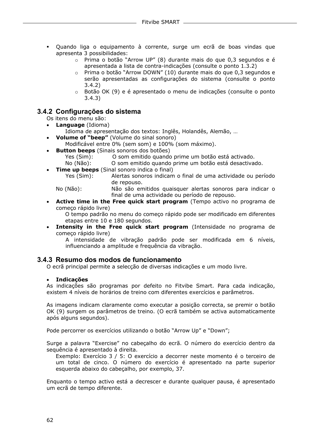- Quando liga o equipamento à corrente, surge um ecrã de boas vindas que apresenta 3 possibilidades:
	- o Prima o botão "Arrow UP" (8) durante mais do que 0,3 segundos e é apresentada a lista de contra-indicações (consulte o ponto 1.3.2)
	- $\circ$  Prima o botão "Arrow DOWN" (10) durante mais do que 0,3 segundos e serão apresentadas as configurações do sistema (consulte o ponto 3.4.2)
	- o Botão OK (9) e é apresentado o menu de indicações (consulte o ponto 3.4.3)

#### **3.4.2 Configurações do sistema**

#### Os itens do menu são:

- **Language** (Idioma)
	- Idioma de apresentação dos textos: Inglês, Holandês, Alemão, …
- **Volume of "beep"** (Volume do sinal sonoro)
	- Modificável entre 0% (sem som) e 100% (som máximo).
- **Button beeps** (Sinais sonoros dos botões)
	- Yes (Sim): O som emitido quando prime um botão está activado.
	- No (Não): O som emitido quando prime um botão está desactivado.
- **Time up beeps** (Sinal sonoro indica o final)
	- Yes (Sim): Alertas sonoros indicam o final de uma actividade ou período de repouso.
	- No (Não): Não são emitidos quaisquer alertas sonoros para indicar o final de uma actividade ou período de repouso.
- **Active time in the Free quick start program** (Tempo activo no programa de começo rápido livre)

O tempo padrão no menu do começo rápido pode ser modificado em diferentes etapas entre 10 e 180 segundos.

• **Intensity in the Free quick start program** (Intensidade no programa de começo rápido livre)

A intensidade de vibração padrão pode ser modificada em 6 níveis, influenciando a amplitude e frequência da vibração.

#### **3.4.3 Resumo dos modos de funcionamento**

O ecrã principal permite a selecção de diversas indicações e um modo livre.

#### • **Indicações**

As indicações são programas por defeito no Fitvibe Smart. Para cada indicação, existem 4 níveis de horários de treino com diferentes exercícios e parâmetros.

As imagens indicam claramente como executar a posição correcta, se premir o botão OK (9) surgem os parâmetros de treino. (O ecrã também se activa automaticamente após alguns segundos).

Pode percorrer os exercícios utilizando o botão "Arrow Up" e "Down";

Surge a palavra "Exercise" no cabeçalho do ecrã. O número do exercício dentro da sequência é apresentado à direita.

Exemplo: Exercício 3 / 5: O exercício a decorrer neste momento é o terceiro de um total de cinco. O número do exercício é apresentado na parte superior esquerda abaixo do cabeçalho, por exemplo, 37.

Enquanto o tempo activo está a decrescer e durante qualquer pausa, é apresentado um ecrã de tempo diferente.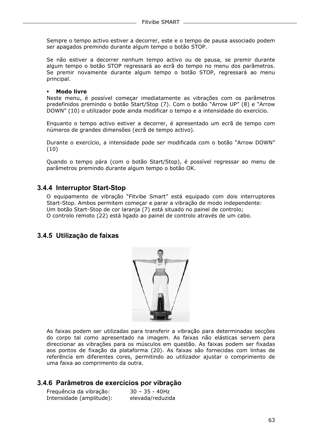Sempre o tempo activo estiver a decorrer, este e o tempo de pausa associado podem ser apagados premindo durante algum tempo o botão STOP.

Se não estiver a decorrer nenhum tempo activo ou de pausa, se premir durante algum tempo o botão STOP regressará ao ecrã do tempo no menu dos parâmetros. Se premir novamente durante algum tempo o botão STOP, regressará ao menu principal.

#### **Modo livre**

Neste menu, é possível começar imediatamente as vibrações com os parâmetros predefinidos premindo o botão Start/Stop (7). Com o botão "Arrow UP" (8) e "Arrow DOWN" (10) o utilizador pode ainda modificar o tempo e a intensidade do exercício.

Enquanto o tempo activo estiver a decorrer, é apresentado um ecrã de tempo com números de grandes dimensões (ecrã de tempo activo).

Durante o exercício, a intensidade pode ser modificada com o botão "Arrow DOWN" (10)

Quando o tempo pára (com o botão Start/Stop), é possível regressar ao menu de parâmetros premindo durante algum tempo o botão OK.

#### **3.4.4 Interruptor Start-Stop**

O equipamento de vibração "Fitvibe Smart" está equipado com dois interruptores Start-Stop. Ambos permitem começar e parar a vibração de modo independente: Um botão Start-Stop de cor laranja (7) está situado no painel de controlo; O controlo remoto (22) está ligado ao painel de controlo através de um cabo.

#### **3.4.5 Utilização de faixas**

![](_page_62_Picture_11.jpeg)

As faixas podem ser utilizadas para transferir a vibração para determinadas secções do corpo tal como apresentado na imagem. As faixas não elásticas servem para direccionar as vibrações para os músculos em questão. As faixas podem ser fixadas aos pontos de fixação da plataforma (20). As faixas são fornecidas com linhas de referência em diferentes cores, permitindo ao utilizador ajustar o comprimento de uma faixa ao comprimento da outra.

#### **3.4.6 Parâmetros de exercícios por vibração**

| Frequência da vibração:  | $30 - 35 - 40$ Hz |
|--------------------------|-------------------|
| Intensidade (amplitude): | elevada/reduzida  |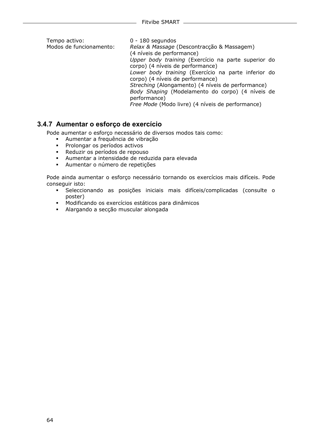| Tempo activo:<br>Modos de funcionamento: | $0 - 180$ segundos<br>Relax & Massage (Descontracção & Massagem)<br>(4 níveis de performance)                         |
|------------------------------------------|-----------------------------------------------------------------------------------------------------------------------|
|                                          | Upper body training (Exercício na parte superior do<br>corpo) (4 níveis de performance)                               |
|                                          | Lower body training (Exercício na parte inferior do<br>corpo) (4 níveis de performance)                               |
|                                          | Streching (Alongamento) (4 níveis de performance)<br>Body Shaping (Modelamento do corpo) (4 níveis de<br>performance) |
|                                          | Free Mode (Modo livre) (4 níveis de performance)                                                                      |

#### **3.4.7 Aumentar o esforço de exercício**

Pode aumentar o esforço necessário de diversos modos tais como:

- Aumentar a frequência de vibração
- **Prolongar os períodos activos**
- Reduzir os períodos de repouso
- Aumentar a intensidade de reduzida para elevada
- Aumentar o número de repetições

Pode ainda aumentar o esforço necessário tornando os exercícios mais difíceis. Pode conseguir isto:

- Seleccionando as posições iniciais mais difíceis/complicadas (consulte o poster)
- Modificando os exercícios estáticos para dinâmicos
- Alargando a secção muscular alongada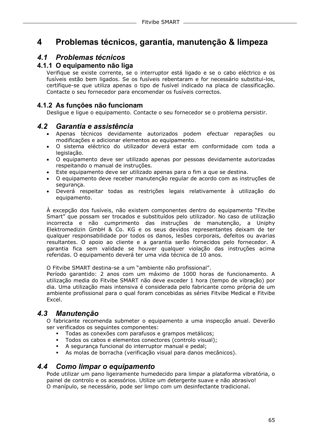## **4 Problemas técnicos, garantia, manutenção & limpeza**

## *4.1 Problemas técnicos*

## **4.1.1 O equipamento não liga**

Verifique se existe corrente, se o interruptor está ligado e se o cabo eléctrico e os fusíveis estão bem ligados. Se os fusíveis rebentaram e for necessário substitui-los, certifique-se que utiliza apenas o tipo de fusível indicado na placa de classificação. Contacte o seu fornecedor para encomendar os fusíveis correctos.

## **4.1.2 As funções não funcionam**

Desligue e ligue o equipamento. Contacte o seu fornecedor se o problema persistir.

### *4.2 Garantia e assistência*

- Apenas técnicos devidamente autorizados podem efectuar reparações ou modificações e adicionar elementos ao equipamento.
- O sistema eléctrico do utilizador deverá estar em conformidade com toda a legislação.
- O equipamento deve ser utilizado apenas por pessoas devidamente autorizadas respeitando o manual de instruções.
- Este equipamento deve ser utilizado apenas para o fim a que se destina.
- O equipamento deve receber manutenção regular de acordo com as instruções de segurança.
- Deverá respeitar todas as restrições legais relativamente à utilização do equipamento.

À excepção dos fusíveis, não existem componentes dentro do equipamento "Fitvibe Smart" que possam ser trocados e substituídos pelo utilizador. No caso de utilização incorrecta e não cumprimento das instruções de manutenção, a Uniphy Elektromedizin GmbH & Co. KG e os seus devidos representantes deixam de ter qualquer responsabilidade por todos os danos, lesões corporais, defeitos ou avarias resultantes. O apoio ao cliente e a garantia serão fornecidos pelo fornecedor. A garantia fica sem validade se houver qualquer violação das instruções acima referidas. O equipamento deverá ter uma vida técnica de 10 anos.

O Fitvibe SMART destina-se a um "ambiente não profissional".

Período garantido: 2 anos com um máximo de 1000 horas de funcionamento. A utilização media do Fitvibe SMART não deve exceder 1 hora (tempo de vibração) por dia. Uma utilização mais intensiva é considerada pelo fabricante como própria de um ambiente profissional para o qual foram concebidas as séries Fitvibe Medical e Fitvibe Excel.

## *4.3 Manutenção*

O fabricante recomenda submeter o equipamento a uma inspecção anual. Deverão ser verificados os seguintes componentes:

- Todas as conexões com parafusos e grampos metálicos;
- Todos os cabos e elementos conectores (controlo visual);
- A segurança funcional do interruptor manual e pedal;
- As molas de borracha (verificação visual para danos mecânicos).

#### *4.4 Como limpar o equipamento*

Pode utilizar um pano ligeiramente humedecido para limpar a plataforma vibratória, o painel de controlo e os acessórios. Utilize um detergente suave e não abrasivo! O manípulo, se necessário, pode ser limpo com um desinfectante tradicional.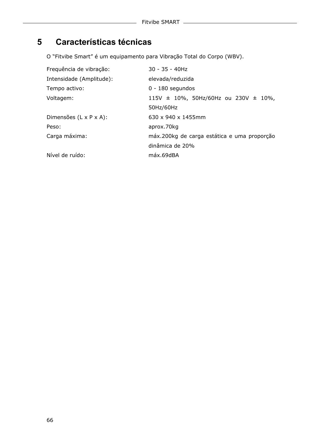## **5 Características técnicas**

O "Fitvibe Smart" é um equipamento para Vibração Total do Corpo (WBV).

| Frequência de vibração:  | $30 - 35 - 40$ Hz                            |
|--------------------------|----------------------------------------------|
| Intensidade (Amplitude): | elevada/reduzida                             |
| Tempo activo:            | $0 - 180$ segundos                           |
| Voltagem:                | 115V $\pm$ 10%, 50Hz/60Hz ou 230V $\pm$ 10%, |
|                          | 50Hz/60Hz                                    |
| Dimensões (L x P x A):   | 630 x 940 x 1455mm                           |
| Peso:                    | aprox.70kg                                   |
| Carga máxima:            | máx.200kg de carga estática e uma proporção  |
|                          | dinâmica de 20%                              |
| Nível de ruído:          | máx.69dBA                                    |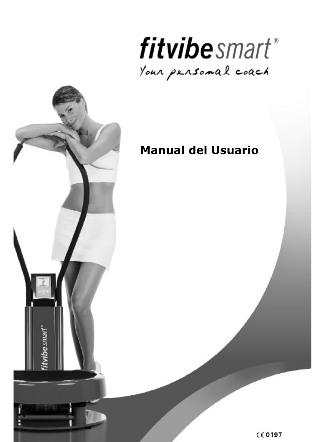fitvibe smart® Your personal coach

# **Manual del Usuario**

<u>for the second control of the second control of the second control of the second control of the second control of the second control of the second control of the second control of the second control of the second control </u>

lezusal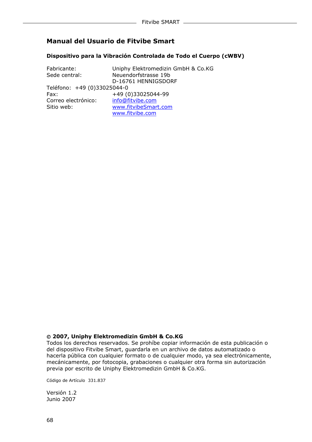### **Manual del Usuario de Fitvibe Smart**

#### **Dispositivo para la Vibración Controlada de Todo el Cuerpo (cWBV)**

| Uniphy Elektromedizin GmbH & Co.KG |  |  |  |  |
|------------------------------------|--|--|--|--|
| Neuendorfstrasse 19b               |  |  |  |  |
| D-16761 HENNIGSDORF                |  |  |  |  |
| Teléfono: +49 (0)33025044-0        |  |  |  |  |
| +49 (0)33025044-99                 |  |  |  |  |
| info@fitvibe.com                   |  |  |  |  |
| www.fitvibeSmart.com               |  |  |  |  |
| www.fitvibe.com                    |  |  |  |  |
|                                    |  |  |  |  |

#### **2007, Uniphy Elektromedizin GmbH & Co.KG**

Todos los derechos reservados. Se prohíbe copiar información de esta publicación o del dispositivo Fitvibe Smart, guardarla en un archivo de datos automatizado o hacerla pública con cualquier formato o de cualquier modo, ya sea electrónicamente, mecánicamente, por fotocopia, grabaciones o cualquier otra forma sin autorización previa por escrito de Uniphy Elektromedizin GmbH & Co.KG.

Código de Artículo 331.837

Versión 1.2 Junio 2007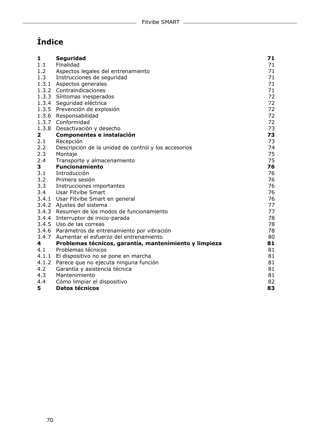# **Índice**

| 1                       | <b>Seguridad</b>                                       | 71 |
|-------------------------|--------------------------------------------------------|----|
| 1.1                     | Finalidad                                              | 71 |
| 1.2                     | Aspectos legales del entrenamiento                     | 71 |
| 1.3                     | Instrucciones de seguridad                             | 71 |
|                         | 1.3.1 Aspectos generales                               | 71 |
|                         | 1.3.2 Contraindicaciones                               | 71 |
|                         | 1.3.3 Síntomas inesperados                             | 72 |
|                         | 1.3.4 Seguridad eléctrica                              | 72 |
|                         | 1.3.5 Prevención de explosión                          | 72 |
|                         | 1.3.6 Responsabilidad                                  | 72 |
|                         | 1.3.7 Conformidad                                      | 72 |
|                         | 1.3.8 Desactivación y desecho                          | 73 |
| $\overline{\mathbf{2}}$ | Componentes e instalación                              | 73 |
| 2.1                     | Recepción                                              | 73 |
| 2.2                     | Descripción de la unidad de control y los accesorios   | 74 |
| 2.3                     | Montaje                                                | 75 |
| 2.4                     | Transporte y almacenamiento                            | 75 |
| 3                       | <b>Funcionamiento</b>                                  | 76 |
| 3.1                     | Introducción                                           | 76 |
| 3.2                     | Primera sesión                                         | 76 |
| 3.3                     | Instrucciones importantes                              | 76 |
| 3.4                     | <b>Usar Fitvibe Smart</b>                              | 76 |
|                         | 3.4.1 Usar Fitvibe Smart en general                    | 76 |
|                         | 3.4.2 Ajustes del sistema                              | 77 |
|                         | 3.4.3 Resumen de los modos de funcionamiento           | 77 |
|                         | 3.4.4 Interruptor de inicio-parada                     | 78 |
|                         | 3.4.5 Uso de las correas                               | 78 |
|                         | 3.4.6 Parámetros de entrenamiento por vibración        | 78 |
|                         | 3.4.7 Aumentar el esfuerzo del entrenamiento           | 80 |
| 4                       | Problemas técnicos, garantía, mantenimiento y limpieza | 81 |
| 4.1                     | Problemas técnicos                                     | 81 |
| 4.1.1                   | El dispositivo no se pone en marcha                    | 81 |
|                         | 4.1.2 Parece que no ejecuta ninguna función            | 81 |
| 4.2                     | Garantía y asistencia técnica                          | 81 |
| 4.3                     | Mantenimiento                                          | 81 |
| 4.4                     | Cómo limpiar el dispositivo                            | 82 |
| 5                       | <b>Datos técnicos</b>                                  | 83 |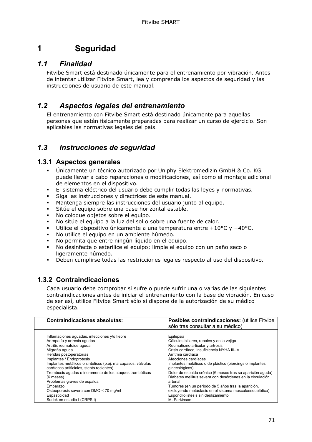## **1 Seguridad**

## *1.1 Finalidad*

Fitvibe Smart está destinado únicamente para el entrenamiento por vibración. Antes de intentar utilizar Fitvibe Smart, lea y comprenda los aspectos de seguridad y las instrucciones de usuario de este manual.

## *1.2 Aspectos legales del entrenamiento*

El entrenamiento con Fitvibe Smart está destinado únicamente para aquellas personas que estén físicamente preparadas para realizar un curso de ejercicio. Son aplicables las normativas legales del país.

## *1.3 Instrucciones de seguridad*

#### **1.3.1 Aspectos generales**

- Únicamente un técnico autorizado por Uniphy Elektromedizin GmbH & Co. KG puede llevar a cabo reparaciones o modificaciones, así como el montaje adicional de elementos en el dispositivo.
- El sistema eléctrico del usuario debe cumplir todas las leyes y normativas.
- Siga las instrucciones y directrices de este manual.
- Mantenga siempre las instrucciones del usuario junto al equipo.
- Sitúe el equipo sobre una base horizontal estable.
- No coloque objetos sobre el equipo.
- No sitúe el equipo a la luz del sol o sobre una fuente de calor.
- Utilice el dispositivo únicamente a una temperatura entre  $+10^{\circ}$ C v  $+40^{\circ}$ C.
- No utilice el equipo en un ambiente húmedo.
- No permita que entre ningún líquido en el equipo.
- No desinfecte o esterilice el equipo; limpie el equipo con un paño seco o ligeramente húmedo.
- Deben cumplirse todas las restricciones legales respecto al uso del dispositivo.

## **1.3.2 Contraindicaciones**

Cada usuario debe comprobar si sufre o puede sufrir una o varias de las siguientes contraindicaciones antes de iniciar el entrenamiento con la base de vibración. En caso de ser así, utilice Fitvibe Smart sólo si dispone de la autorización de su médico especialista.

| <b>Contraindicaciones absolutas:</b>                         | <b>Posibles contraindicaciones: (utilice Fitvibe)</b><br>sólo tras consultar a su médico) |
|--------------------------------------------------------------|-------------------------------------------------------------------------------------------|
| Inflamaciones aguadas, infecciones y/o fiebre                | Epilepsia                                                                                 |
| Artropatía y artrosis agudas                                 | Cálculos biliares, renales y en la vejiga                                                 |
| Artritis reumatoide aguda                                    | Reumatismo articular y artrosis                                                           |
| Migraña aguda                                                | Crisis cardíaca, insuficiencia NYHA III-IV                                                |
| Heridas postoperatorias                                      | Arritmia cardíaca                                                                         |
| Implantes / Endoprótesis                                     | Afecciones cardíacas                                                                      |
| Implantes metálicos o sintéticos (p.ej. marcapasos, válvulas | Implantes metálicos o de plástico (piercings o implantes                                  |
| cardíacas artificiales, stents recientes)                    | qinecológicos)                                                                            |
| Trombosis agudas o incremento de los ataques trombóticos     | Dolor de espalda crónico (6 meses tras su aparición aguda)                                |
| $(6$ meses $)$                                               | Diabetes mellitus severa con desórdenes en la circulación                                 |
| Problemas graves de espalda                                  | arterial                                                                                  |
| Embarazo                                                     | Tumores (en un período de 5 años tras la aparición,                                       |
| Osteoporosis severa con DMO < 70 mg/ml                       | excluyendo metástasis en el sistema musculoesquelético)                                   |
| Espasticidad                                                 | Espondilolistesis sin deslizamiento                                                       |
| Sudek en estadio I (CRPS I)                                  | M. Parkinson                                                                              |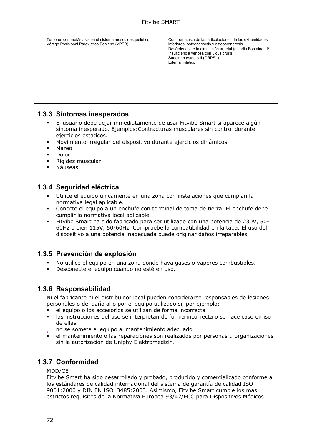| Tumores con metástasis en el sistema musculoesquelético<br>Vértigo Posicional Paroxístico Benigno (VPPB) | Condromalasia de las articulaciones de las extremidades<br>inferiores, osteonecrosis y osteocrondrosis<br>Desórdenes de la circulación arterial (estadio Fontaine IIIº)<br>Insuficiencia venosa con ulcus cruris<br>Sudek en estadio II (CRPS I)<br>Edema linfático |
|----------------------------------------------------------------------------------------------------------|---------------------------------------------------------------------------------------------------------------------------------------------------------------------------------------------------------------------------------------------------------------------|
|----------------------------------------------------------------------------------------------------------|---------------------------------------------------------------------------------------------------------------------------------------------------------------------------------------------------------------------------------------------------------------------|

#### **1.3.3 Síntomas inesperados**

- El usuario debe dejar inmediatamente de usar Fitvibe Smart si aparece algún síntoma inesperado. Ejemplos:Contracturas musculares sin control durante ejercicios estáticos.
- Movimiento irregular del dispositivo durante ejercicios dinámicos.
- Mareo
- **Dolor**
- **Rigidez muscular**
- Náuseas

#### **1.3.4 Seguridad eléctrica**

- Utilice el equipo únicamente en una zona con instalaciones que cumplan la normativa legal aplicable.
- Conecte el equipo a un enchufe con terminal de toma de tierra. El enchufe debe cumplir la normativa local aplicable.
- Fitvibe Smart ha sido fabricado para ser utilizado con una potencia de 230V, 50- 60Hz o bien 115V, 50-60Hz. Compruebe la compatibilidad en la tapa. El uso del dispositivo a una potencia inadecuada puede originar daños irreparables

#### **1.3.5 Prevención de explosión**

- No utilice el equipo en una zona donde haya gases o vapores combustibles.
- Desconecte el equipo cuando no esté en uso.

#### **1.3.6 Responsabilidad**

Ni el fabricante ni el distribuidor local pueden considerarse responsables de lesiones personales o del daño al o por el equipo utilizado si, por ejemplo;

- el equipo o los accesorios se utilizan de forma incorrecta
- las instrucciones del uso se interpretan de forma incorrecta o se hace caso omiso de ellas
- no se somete el equipo al mantenimiento adecuado
- el mantenimiento o las reparaciones son realizados por personas u organizaciones sin la autorización de Uniphy Elektromedizin.

#### **1.3.7 Conformidad**

#### MDD/CE

Fitvibe Smart ha sido desarrollado y probado, producido y comercializado conforme a los estándares de calidad internacional del sistema de garantía de calidad ISO 9001:2000 y DIN EN ISO13485:2003. Asimismo, Fitvibe Smart cumple los más estrictos requisitos de la Normativa Europea 93/42/ECC para Dispositivos Médicos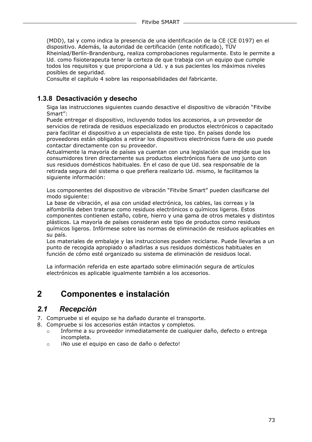(MDD), tal y como indica la presencia de una identificación de la CE (CE 0197) en el dispositivo. Además, la autoridad de certificación (ente notificado), TÜV Rheinlad/Berlín-Brandenburg, realiza comprobaciones regularmente. Esto le permite a Ud. como fisioterapeuta tener la certeza de que trabaja con un equipo que cumple todos los requisitos y que proporciona a Ud. y a sus pacientes los máximos niveles posibles de seguridad.

Consulte el capítulo 4 sobre las responsabilidades del fabricante.

## **1.3.8 Desactivación y desecho**

Siga las instrucciones siguientes cuando desactive el dispositivo de vibración "Fitvibe Smart":

Puede entregar el dispositivo, incluyendo todos los accesorios, a un proveedor de servicios de retirada de residuos especializado en productos electrónicos o capacitado para facilitar el dispositivo a un especialista de este tipo. En países donde los proveedores están obligados a retirar los dispositivos electrónicos fuera de uso puede contactar directamente con su proveedor.

Actualmente la mayoría de países ya cuentan con una legislación que impide que los consumidores tiren directamente sus productos electrónicos fuera de uso junto con sus residuos domésticos habituales. En el caso de que Ud. sea responsable de la retirada segura del sistema o que prefiera realizarlo Ud. mismo, le facilitamos la siguiente información:

Los componentes del dispositivo de vibración "Fitvibe Smart" pueden clasificarse del modo siguiente:

La base de vibración, el asa con unidad electrónica, los cables, las correas y la alfombrilla deben tratarse como residuos electrónicos o químicos ligeros. Estos componentes contienen estaño, cobre, hierro y una gama de otros metales y distintos plásticos. La mayoría de países consideran este tipo de productos como residuos químicos ligeros. Infórmese sobre las normas de eliminación de residuos aplicables en su país.

Los materiales de embalaje y las instrucciones pueden reciclarse. Puede llevarlas a un punto de recogida apropiado o añadirlas a sus residuos domésticos habituales en función de cómo esté organizado su sistema de eliminación de residuos local.

La información referida en este apartado sobre eliminación segura de artículos electrónicos es aplicable igualmente también a los accesorios.

# **2 Componentes e instalación**

## *2.1 Recepción*

- 7. Compruebe si el equipo se ha dañado durante el transporte.
- 8. Compruebe si los accesorios están intactos y completos.
	- o Informe a su proveedor inmediatamente de cualquier daño, defecto o entrega incompleta.
	- o iNo use el equipo en caso de daño o defecto!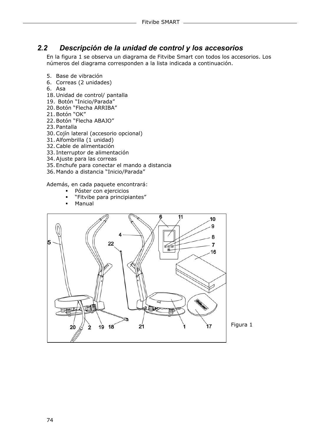## *2.2 Descripción de la unidad de control y los accesorios*

En la figura 1 se observa un diagrama de Fitvibe Smart con todos los accesorios. Los números del diagrama corresponden a la lista indicada a continuación.

- 5. Base de vibración
- 6. Correas (2 unidades)
- 6. Asa
- 18. Unidad de control/ pantalla
- 19. Botón "Inicio/Parada"
- 20.Botón "Flecha ARRIBA"
- 21.Botón "OK"
- 22.Botón "Flecha ABAJO"
- 23. Pantalla
- 30.Cojín lateral (accesorio opcional)
- 31.Alfombrilla (1 unidad)
- 32.Cable de alimentación
- 33. Interruptor de alimentación
- 34.Ajuste para las correas
- 35. Enchufe para conectar el mando a distancia
- 36. Mando a distancia "Inicio/Parada"

Además, en cada paquete encontrará:

- Póster con ejercicios
- "Fitvibe para principiantes"
- Manual



Figura 1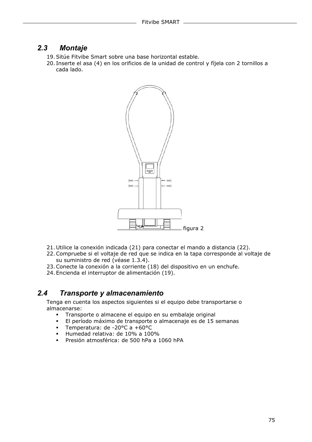## *2.3 Montaje*

- 19.Sitúe Fitvibe Smart sobre una base horizontal estable.
- 20. Inserte el asa (4) en los orificios de la unidad de control y fíjela con 2 tornillos a cada lado.



- 21. Utilice la conexión indicada (21) para conectar el mando a distancia (22).
- 22.Compruebe si el voltaje de red que se indica en la tapa corresponde al voltaje de su suministro de red (véase 1.3.4).
- 23.Conecte la conexión a la corriente (18) del dispositivo en un enchufe.
- 24. Encienda el interruptor de alimentación (19).

## *2.4 Transporte y almacenamiento*

Tenga en cuenta los aspectos siguientes si el equipo debe transportarse o almacenarse:

- Transporte o almacene el equipo en su embalaje original
- El período máximo de transporte o almacenaje es de 15 semanas
- Temperatura: de -20°C a +60°C
- Humedad relativa: de 10% a 100%
- Presión atmosférica: de 500 hPa a 1060 hPA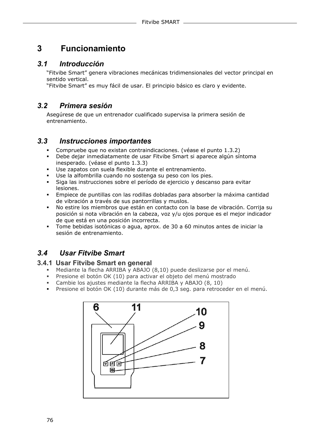# **3 Funcionamiento**

## *3.1 Introducción*

"Fitvibe Smart" genera vibraciones mecánicas tridimensionales del vector principal en sentido vertical.

"Fitvibe Smart" es muy fácil de usar. El principio básico es claro y evidente.

## *3.2 Primera sesión*

Asegúrese de que un entrenador cualificado supervisa la primera sesión de entrenamiento.

## *3.3 Instrucciones importantes*

- Compruebe que no existan contraindicaciones. (véase el punto 1.3.2)
- Debe dejar inmediatamente de usar Fitvibe Smart si aparece algún síntoma inesperado. (véase el punto 1.3.3)
- Use zapatos con suela flexible durante el entrenamiento.
- Use la alfombrilla cuando no sostenga su peso con los pies.
- Siga las instrucciones sobre el período de ejercicio y descanso para evitar lesiones.
- Empiece de puntillas con las rodillas dobladas para absorber la máxima cantidad de vibración a través de sus pantorrillas y muslos.
- No estire los miembros que están en contacto con la base de vibración. Corrija su posición si nota vibración en la cabeza, voz y/u ojos porque es el mejor indicador de que está en una posición incorrecta.
- Tome bebidas isotónicas o agua, aprox. de 30 a 60 minutos antes de iniciar la sesión de entrenamiento.

## *3.4 Usar Fitvibe Smart*

#### **3.4.1 Usar Fitvibe Smart en general**

- Mediante la flecha ARRIBA y ABAJO (8,10) puede deslizarse por el menú.
- Presione el botón OK (10) para activar el objeto del menú mostrado
- Cambie los ajustes mediante la flecha ARRIBA y ABAJO (8, 10)
- Presione el botón OK (10) durante más de 0,3 seg. para retroceder en el menú.

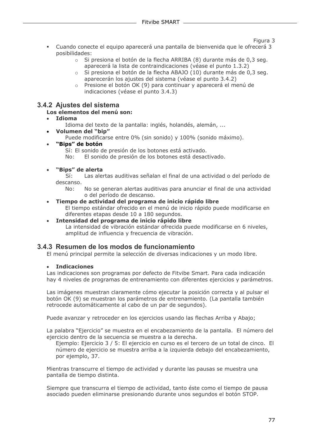```
Figura 3
```
- Cuando conecte el equipo aparecerá una pantalla de bienvenida que le ofrecerá 3 posibilidades:
	- o Si presiona el botón de la flecha ARRIBA (8) durante más de 0,3 seg. aparecerá la lista de contraindicaciones (véase el punto 1.3.2)
	- o Si presiona el botón de la flecha ABAJO (10) durante más de 0,3 seg. aparecerán los ajustes del sistema (véase el punto 3.4.2)
	- o Presione el botón OK (9) para continuar y aparecerá el menú de indicaciones (véase el punto 3.4.3)

## **3.4.2 Ajustes del sistema**

#### **Los elementos del menú son:**

• **Idioma** 

Idioma del texto de la pantalla: inglés, holandés, alemán, ...

• **Volumen del "bip"** 

Puede modificarse entre 0% (sin sonido) y 100% (sonido máximo).

• **"Bips" de botón**

Sí: El sonido de presión de los botones está activado.

No: El sonido de presión de los botones está desactivado.

#### • **"Bips" de alerta**

 Sí: Las alertas auditivas señalan el final de una actividad o del período de descanso.

No: No se generan alertas auditivas para anunciar el final de una actividad o del período de descanso.

#### • **Tiempo de actividad del programa de inicio rápido libre**

El tiempo estándar ofrecido en el menú de inicio rápido puede modificarse en diferentes etapas desde 10 a 180 segundos.

### • **Intensidad del programa de inicio rápido libre**

La intensidad de vibración estándar ofrecida puede modificarse en 6 niveles, amplitud de influencia y frecuencia de vibración.

#### **3.4.3 Resumen de los modos de funcionamiento**

El menú principal permite la selección de diversas indicaciones y un modo libre.

#### • **Indicaciones**

Las indicaciones son programas por defecto de Fitvibe Smart. Para cada indicación hay 4 niveles de programas de entrenamiento con diferentes ejercicios y parámetros.

Las imágenes muestran claramente cómo ejecutar la posición correcta y al pulsar el botón OK (9) se muestran los parámetros de entrenamiento. (La pantalla también retrocede automáticamente al cabo de un par de segundos).

Puede avanzar y retroceder en los ejercicios usando las flechas Arriba y Abajo;

La palabra "Ejercicio" se muestra en el encabezamiento de la pantalla. El número del ejercicio dentro de la secuencia se muestra a la derecha.

Ejemplo: Ejercicio 3 / 5: El ejercicio en curso es el tercero de un total de cinco. El número de ejercicio se muestra arriba a la izquierda debajo del encabezamiento, por ejemplo, 37.

Mientras transcurre el tiempo de actividad y durante las pausas se muestra una pantalla de tiempo distinta.

Siempre que transcurra el tiempo de actividad, tanto éste como el tiempo de pausa asociado pueden eliminarse presionando durante unos segundos el botón STOP.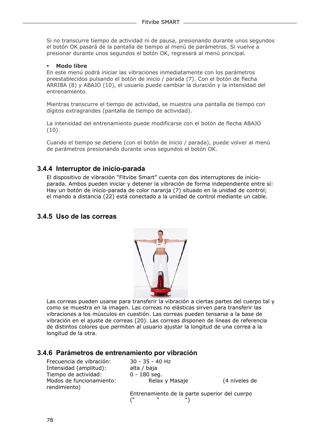Si no transcurre tiempo de actividad ni de pausa, presionando durante unos segundos el botón OK pasará de la pantalla de tiempo al menú de parámetros. Si vuelve a presionar durante unos segundos el botón OK, regresará al menú principal.

#### **Modo libre**

En este menú podrá iniciar las vibraciones inmediatamente con los parámetros preestablecidos pulsando el botón de inicio / parada (7). Con el botón de flecha ARRIBA (8) y ABAJO (10), el usuario puede cambiar la duración y la intensidad del entrenamiento.

Mientras transcurre el tiempo de actividad, se muestra una pantalla de tiempo con dígitos extragrandes (pantalla de tiempo de actividad).

La intensidad del entrenamiento puede modificarse con el botón de flecha ABAJO  $(10).$ 

Cuando el tiempo se detiene (con el botón de inicio / parada), puede volver al menú de parámetros presionando durante unos segundos el botón OK.

#### **3.4.4 Interruptor de inicio-parada**

El dispositivo de vibración "Fitvibe Smart" cuenta con dos interruptores de inicioparada. Ambos pueden iniciar y detener la vibración de forma independiente entre sí: Hay un botón de inicio-parada de color naranja (7) situado en la unidad de control; el mando a distancia (22) está conectado a la unidad de control mediante un cable.

#### **3.4.5 Uso de las correas**



Las correas pueden usarse para transferir la vibración a ciertas partes del cuerpo tal y como se muestra en la imagen. Las correas no elásticas sirven para transferir las vibraciones a los músculos en cuestión. Las correas pueden tensarse a la base de vibración en el ajuste de correas (20). Las correas disponen de líneas de referencia de distintos colores que permiten al usuario ajustar la longitud de una correa a la longitud de la otra.

#### **3.4.6 Parámetros de entrenamiento por vibración**

| Frecuencia de vibración:                 | $30 - 35 - 40$ Hz                             |               |
|------------------------------------------|-----------------------------------------------|---------------|
| Intensidad (amplitud):                   | alta / baja                                   |               |
| Tiempo de actividad:                     | $0 - 180$ seq.                                |               |
| Modos de funcionamiento:<br>rendimiento) | Relax y Masaje                                | (4 niveles de |
|                                          | Entrenamiento de la parte superior del cuerpo |               |
|                                          |                                               |               |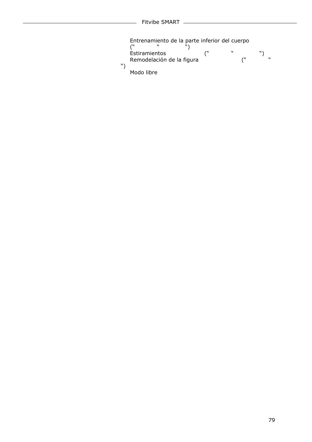|   | <b>Fitvibe SMART</b>                          |   |   |
|---|-----------------------------------------------|---|---|
|   | Entrenamiento de la parte inferior del cuerpo |   |   |
| w | Estiramientos<br>Remodelación de la figura    | w | v |

Modo libre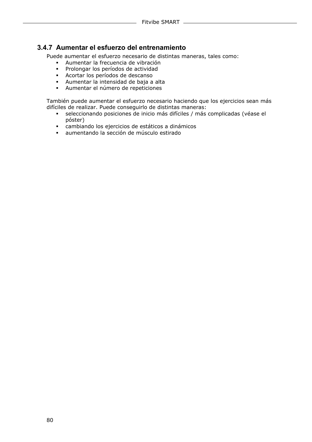#### **3.4.7 Aumentar el esfuerzo del entrenamiento**

Puede aumentar el esfuerzo necesario de distintas maneras, tales como:

- Aumentar la frecuencia de vibración
- Prolongar los períodos de actividad
- Acortar los períodos de descanso
- Aumentar la intensidad de baja a alta
- Aumentar el número de repeticiones

También puede aumentar el esfuerzo necesario haciendo que los ejercicios sean más difíciles de realizar. Puede conseguirlo de distintas maneras:

- seleccionando posiciones de inicio más difíciles / más complicadas (véase el póster)
- cambiando los ejercicios de estáticos a dinámicos
- aumentando la sección de músculo estirado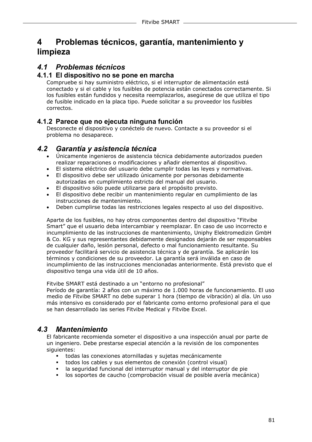## **4 Problemas técnicos, garantía, mantenimiento y limpieza**

## *4.1 Problemas técnicos*

#### **4.1.1 El dispositivo no se pone en marcha**

Compruebe si hay suministro eléctrico, si el interruptor de alimentación está conectado y si el cable y los fusibles de potencia están conectados correctamente. Si los fusibles están fundidos y necesita reemplazarlos, asegúrese de que utiliza el tipo de fusible indicado en la placa tipo. Puede solicitar a su proveedor los fusibles correctos.

#### **4.1.2 Parece que no ejecuta ninguna función**

Desconecte el dispositivo y conéctelo de nuevo. Contacte a su proveedor si el problema no desaparece.

## *4.2 Garantía y asistencia técnica*

- Únicamente ingenieros de asistencia técnica debidamente autorizados pueden realizar reparaciones o modificaciones y añadir elementos al dispositivo.
- El sistema eléctrico del usuario debe cumplir todas las leyes y normativas.
- El dispositivo debe ser utilizado únicamente por personas debidamente autorizadas en cumplimiento estricto del manual del usuario.
- El dispositivo sólo puede utilizarse para el propósito previsto.
- El dispositivo debe recibir un mantenimiento regular en cumplimiento de las instrucciones de mantenimiento.
- Deben cumplirse todas las restricciones legales respecto al uso del dispositivo.

Aparte de los fusibles, no hay otros componentes dentro del dispositivo "Fitvibe Smart" que el usuario deba intercambiar y reemplazar. En caso de uso incorrecto e incumplimiento de las instrucciones de mantenimiento, Uniphy Elektromedizin GmbH & Co. KG y sus representantes debidamente designados dejarán de ser responsables de cualquier daño, lesión personal, defecto o mal funcionamiento resultante. Su proveedor facilitará servicio de asistencia técnica y de garantía. Se aplicarán los términos y condiciones de su proveedor. La garantía será inválida en caso de incumplimiento de las instrucciones mencionadas anteriormente. Está previsto que el dispositivo tenga una vida útil de 10 años.

Fitvibe SMART está destinado a un "entorno no profesional"

Período de garantía: 2 años con un máximo de 1.000 horas de funcionamiento. El uso medio de Fitvibe SMART no debe superar 1 hora (tiempo de vibración) al día. Un uso más intensivo es considerado por el fabricante como entorno profesional para el que se han desarrollado las series Fitvibe Medical y Fitvibe Excel.

## *4.3 Mantenimiento*

El fabricante recomienda someter el dispositivo a una inspección anual por parte de un ingeniero. Debe prestarse especial atención a la revisión de los componentes siguientes:

- todas las conexiones atornilladas y sujetas mecánicamente
- todos los cables y sus elementos de conexión (control visual)
- la seguridad funcional del interruptor manual y del interruptor de pie
- los soportes de caucho (comprobación visual de posible avería mecánica)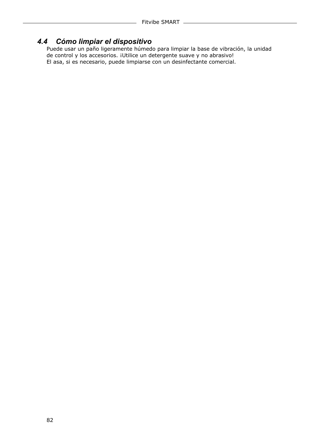## *4.4 Cómo limpiar el dispositivo*

Puede usar un paño ligeramente húmedo para limpiar la base de vibración, la unidad de control y los accesorios. ¡Utilice un detergente suave y no abrasivo! El asa, si es necesario, puede limpiarse con un desinfectante comercial.